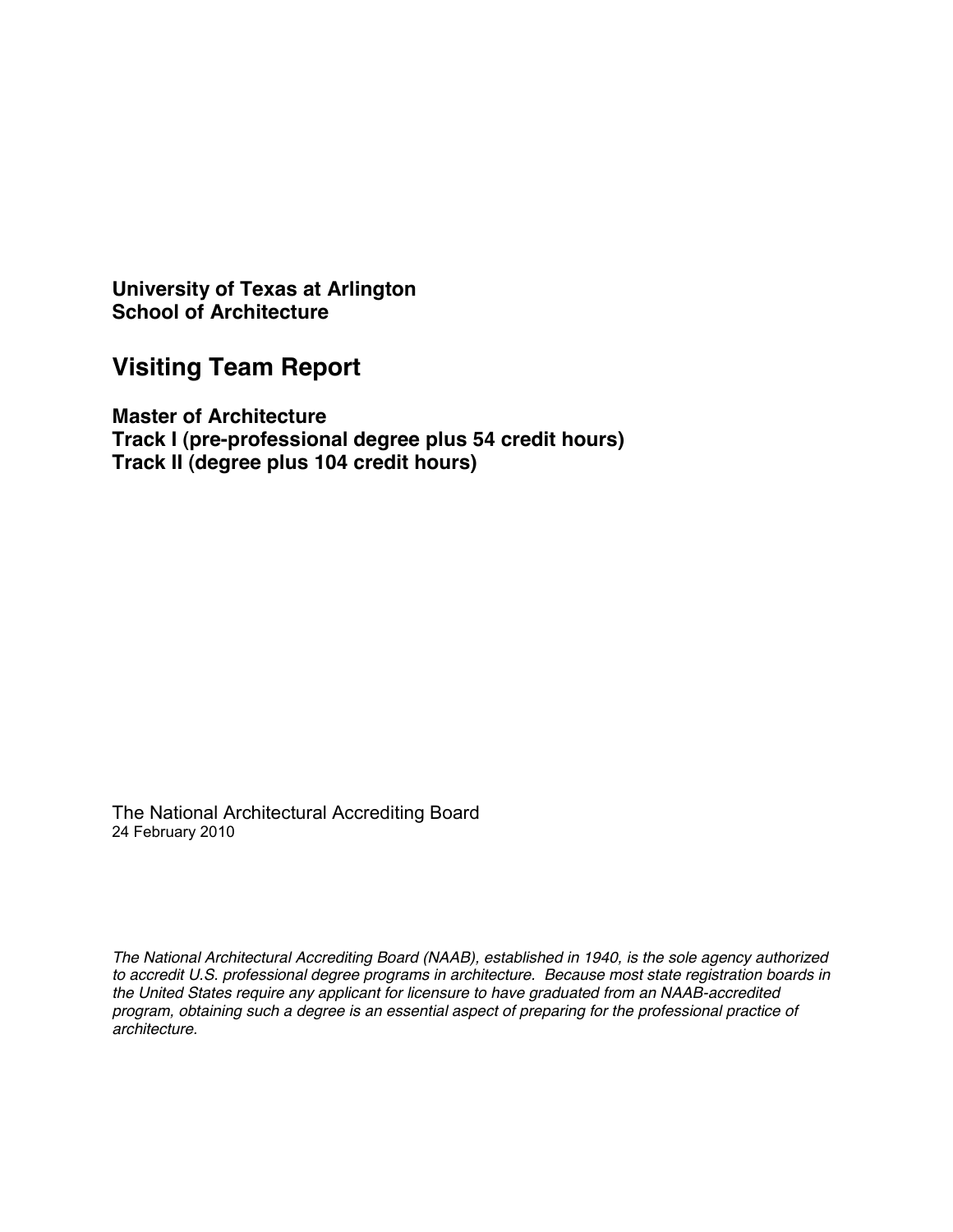**University of Texas at Arlington School of Architecture** 

# **Visiting Team Report**

**Master of Architecture**

**Track I (pre-professional degree plus 54 credit hours) Track II (degree plus 104 credit hours)**

The National Architectural Accrediting Board 24 February 2010

*The National Architectural Accrediting Board (NAAB), established in 1940, is the sole agency authorized to accredit U.S. professional degree programs in architecture. Because most state registration boards in the United States require any applicant for licensure to have graduated from an NAAB-accredited program, obtaining such a degree is an essential aspect of preparing for the professional practice of architecture.*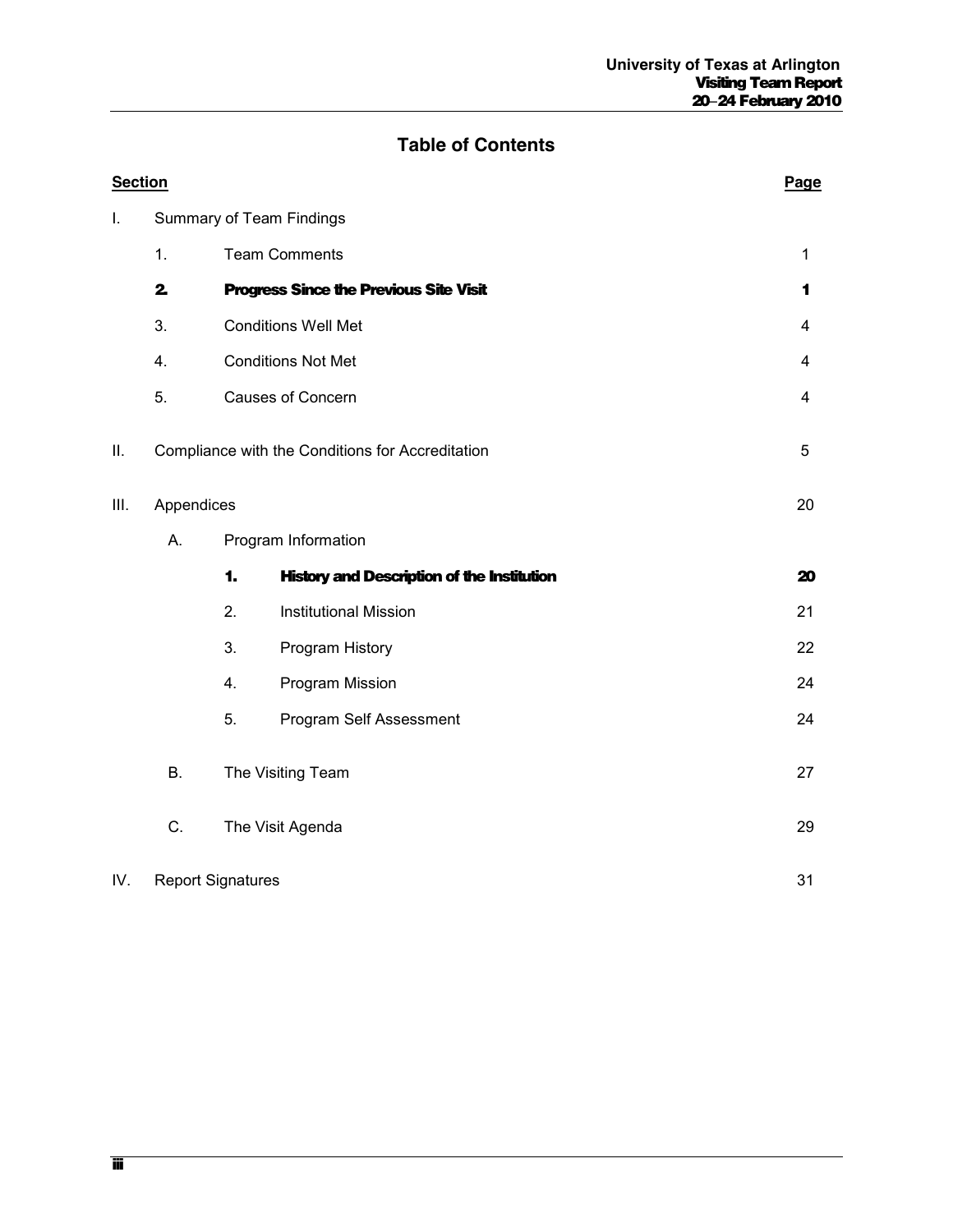## **Table of Contents**

| <b>Section</b> |                           |                            |                                                   | <b>Page</b> |
|----------------|---------------------------|----------------------------|---------------------------------------------------|-------------|
| I.             |                           |                            | <b>Summary of Team Findings</b>                   |             |
|                | 1.                        |                            | <b>Team Comments</b>                              | 1           |
|                | $\mathbf{2}$              |                            | <b>Progress Since the Previous Site Visit</b>     | 1           |
|                | 3.                        | <b>Conditions Well Met</b> |                                                   | 4           |
|                | 4.                        | <b>Conditions Not Met</b>  |                                                   | 4           |
|                | 5.                        |                            | <b>Causes of Concern</b>                          | 4           |
| ΙΙ.            |                           |                            | Compliance with the Conditions for Accreditation  | 5           |
| Ш.             | Appendices                |                            | 20                                                |             |
|                | А.<br>Program Information |                            |                                                   |             |
|                |                           | 1.                         | <b>History and Description of the Institution</b> | 20          |
|                |                           | 2.                         | <b>Institutional Mission</b>                      | 21          |
|                |                           | 3.                         | Program History                                   | 22          |
|                |                           | 4.                         | Program Mission                                   | 24          |
|                |                           | 5.                         | Program Self Assessment                           | 24          |
|                | <b>B.</b>                 | The Visiting Team          |                                                   | 27          |
|                | C.<br>The Visit Agenda    |                            | 29                                                |             |
| IV.            |                           | <b>Report Signatures</b>   |                                                   | 31          |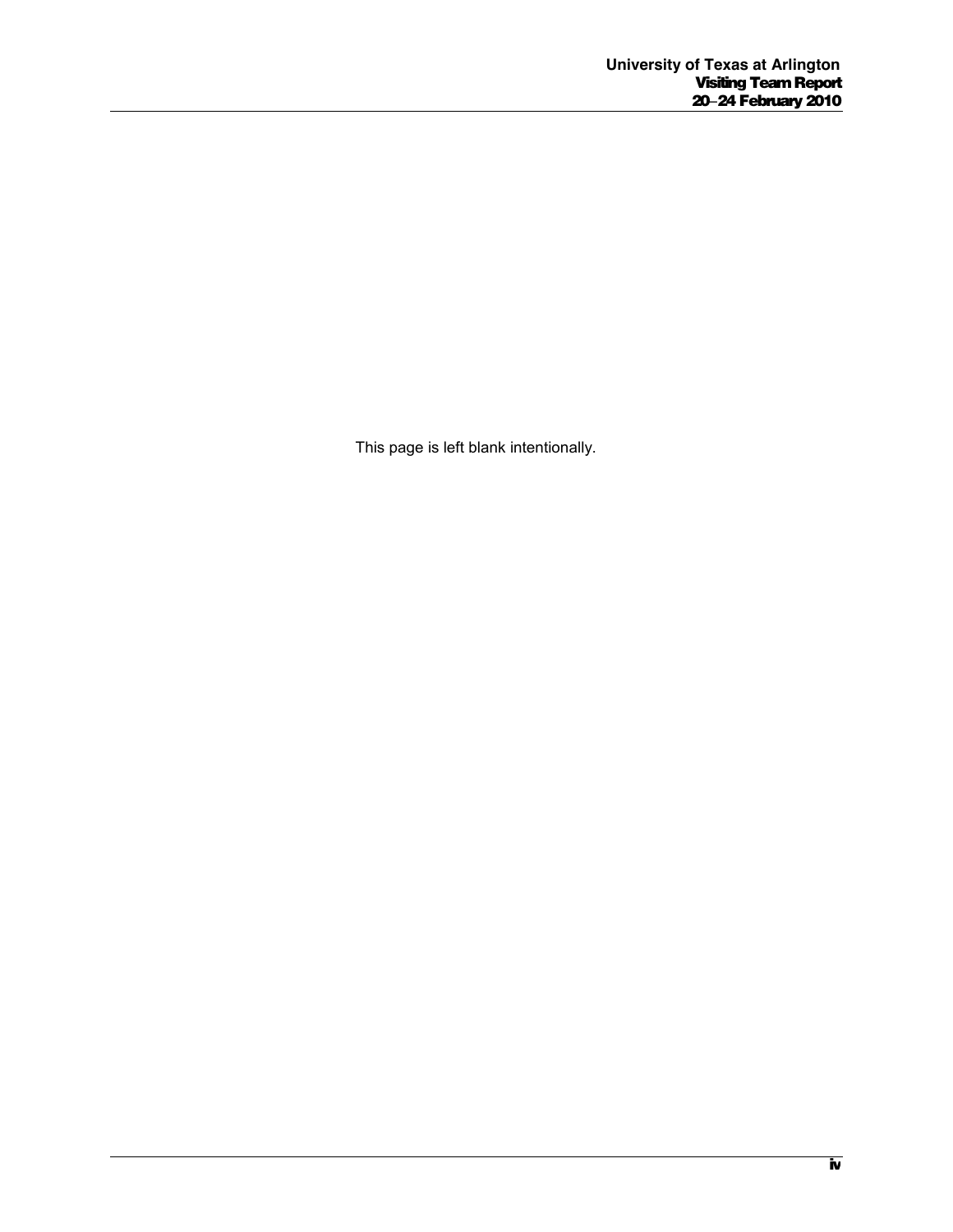This page is left blank intentionally.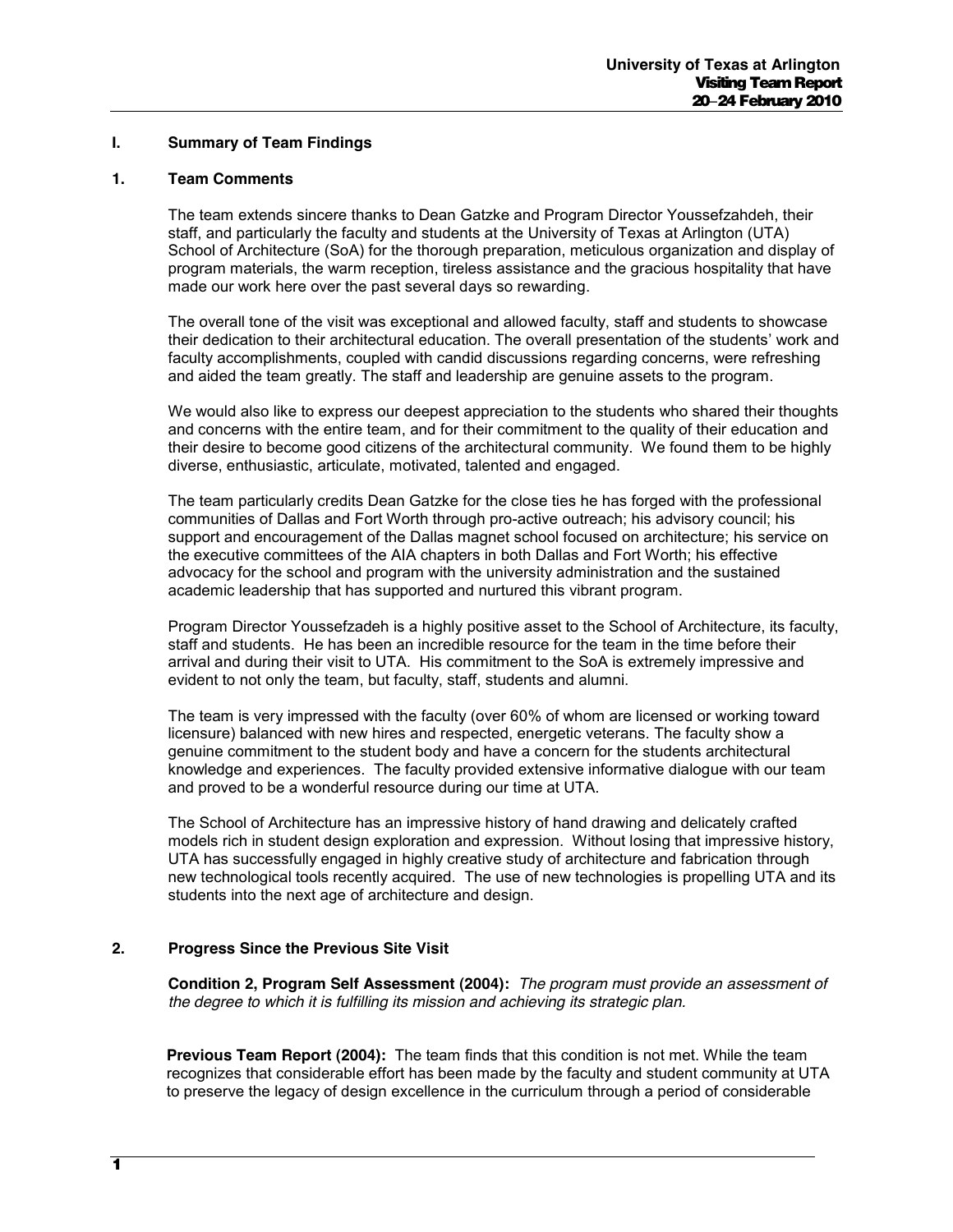### **I. Summary of Team Findings**

#### **1. Team Comments**

The team extends sincere thanks to Dean Gatzke and Program Director Youssefzahdeh, their staff, and particularly the faculty and students at the University of Texas at Arlington (UTA) School of Architecture (SoA) for the thorough preparation, meticulous organization and display of program materials, the warm reception, tireless assistance and the gracious hospitality that have made our work here over the past several days so rewarding.

The overall tone of the visit was exceptional and allowed faculty, staff and students to showcase their dedication to their architectural education. The overall presentation of the students' work and faculty accomplishments, coupled with candid discussions regarding concerns, were refreshing and aided the team greatly. The staff and leadership are genuine assets to the program.

We would also like to express our deepest appreciation to the students who shared their thoughts and concerns with the entire team, and for their commitment to the quality of their education and their desire to become good citizens of the architectural community. We found them to be highly diverse, enthusiastic, articulate, motivated, talented and engaged.

The team particularly credits Dean Gatzke for the close ties he has forged with the professional communities of Dallas and Fort Worth through pro-active outreach; his advisory council; his support and encouragement of the Dallas magnet school focused on architecture; his service on the executive committees of the AIA chapters in both Dallas and Fort Worth; his effective advocacy for the school and program with the university administration and the sustained academic leadership that has supported and nurtured this vibrant program.

Program Director Youssefzadeh is a highly positive asset to the School of Architecture, its faculty, staff and students. He has been an incredible resource for the team in the time before their arrival and during their visit to UTA. His commitment to the SoA is extremely impressive and evident to not only the team, but faculty, staff, students and alumni.

The team is very impressed with the faculty (over 60% of whom are licensed or working toward licensure) balanced with new hires and respected, energetic veterans. The faculty show a genuine commitment to the student body and have a concern for the students architectural knowledge and experiences. The faculty provided extensive informative dialogue with our team and proved to be a wonderful resource during our time at UTA.

The School of Architecture has an impressive history of hand drawing and delicately crafted models rich in student design exploration and expression. Without losing that impressive history, UTA has successfully engaged in highly creative study of architecture and fabrication through new technological tools recently acquired. The use of new technologies is propelling UTA and its students into the next age of architecture and design.

#### **2. Progress Since the Previous Site Visit**

**Condition 2, Program Self Assessment (2004):** *The program must provide an assessment of the degree to which it is fulfilling its mission and achieving its strategic plan.*

**Previous Team Report (2004):** The team finds that this condition is not met. While the team recognizes that considerable effort has been made by the faculty and student community at UTA to preserve the legacy of design excellence in the curriculum through a period of considerable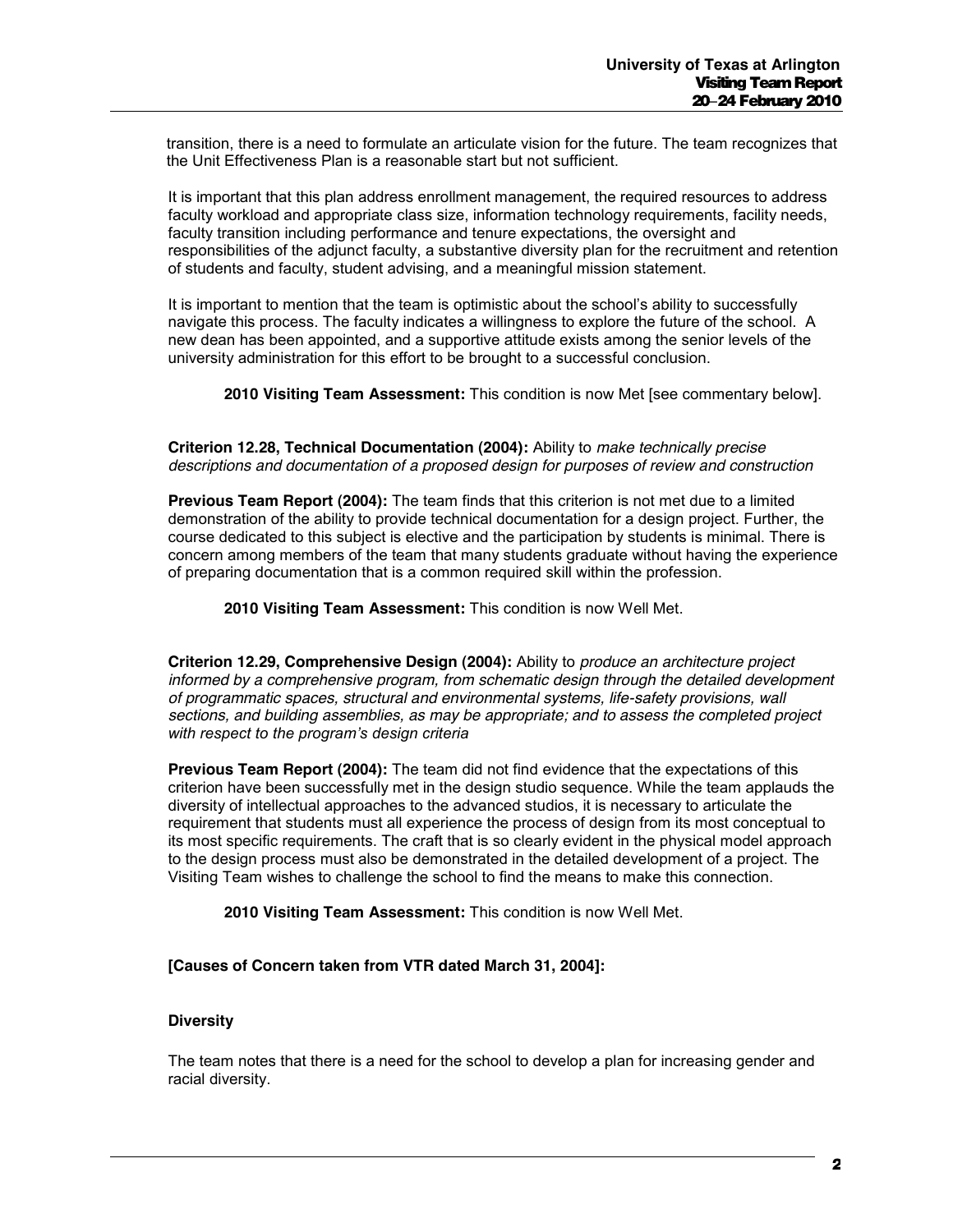transition, there is a need to formulate an articulate vision for the future. The team recognizes that the Unit Effectiveness Plan is a reasonable start but not sufficient.

It is important that this plan address enrollment management, the required resources to address faculty workload and appropriate class size, information technology requirements, facility needs, faculty transition including performance and tenure expectations, the oversight and responsibilities of the adjunct faculty, a substantive diversity plan for the recruitment and retention of students and faculty, student advising, and a meaningful mission statement.

It is important to mention that the team is optimistic about the school's ability to successfully navigate this process. The faculty indicates a willingness to explore the future of the school. A new dean has been appointed, and a supportive attitude exists among the senior levels of the university administration for this effort to be brought to a successful conclusion.

**2010 Visiting Team Assessment:** This condition is now Met [see commentary below].

**Criterion 12.28, Technical Documentation (2004):** Ability to *make technically precise descriptions and documentation of a proposed design for purposes of review and construction*

**Previous Team Report (2004):** The team finds that this criterion is not met due to a limited demonstration of the ability to provide technical documentation for a design project. Further, the course dedicated to this subject is elective and the participation by students is minimal. There is concern among members of the team that many students graduate without having the experience of preparing documentation that is a common required skill within the profession.

**2010 Visiting Team Assessment:** This condition is now Well Met.

**Criterion 12.29, Comprehensive Design (2004):** Ability to *produce an architecture project informed by a comprehensive program, from schematic design through the detailed development of programmatic spaces, structural and environmental systems, life-safety provisions, wall sections, and building assemblies, as may be appropriate; and to assess the completed project with respect to the program's design criteria*

**Previous Team Report (2004):** The team did not find evidence that the expectations of this criterion have been successfully met in the design studio sequence. While the team applauds the diversity of intellectual approaches to the advanced studios, it is necessary to articulate the requirement that students must all experience the process of design from its most conceptual to its most specific requirements. The craft that is so clearly evident in the physical model approach to the design process must also be demonstrated in the detailed development of a project. The Visiting Team wishes to challenge the school to find the means to make this connection.

**2010 Visiting Team Assessment:** This condition is now Well Met.

#### **[Causes of Concern taken from VTR dated March 31, 2004]:**

#### **Diversity**

The team notes that there is a need for the school to develop a plan for increasing gender and racial diversity.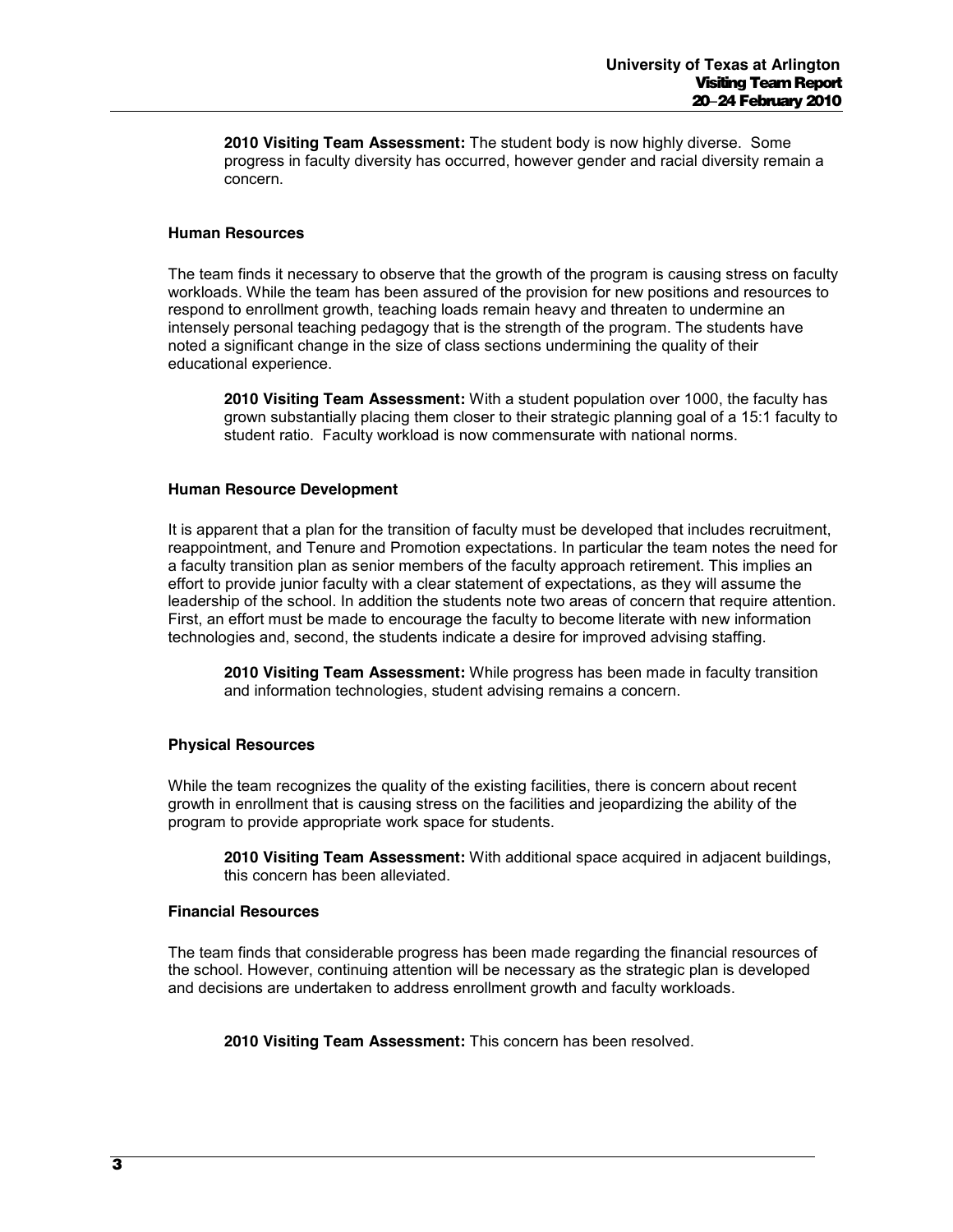**2010 Visiting Team Assessment:** The student body is now highly diverse. Some progress in faculty diversity has occurred, however gender and racial diversity remain a concern.

#### **Human Resources**

The team finds it necessary to observe that the growth of the program is causing stress on faculty workloads. While the team has been assured of the provision for new positions and resources to respond to enrollment growth, teaching loads remain heavy and threaten to undermine an intensely personal teaching pedagogy that is the strength of the program. The students have noted a significant change in the size of class sections undermining the quality of their educational experience.

**2010 Visiting Team Assessment:** With a student population over 1000, the faculty has grown substantially placing them closer to their strategic planning goal of a 15:1 faculty to student ratio. Faculty workload is now commensurate with national norms.

#### **Human Resource Development**

It is apparent that a plan for the transition of faculty must be developed that includes recruitment, reappointment, and Tenure and Promotion expectations. In particular the team notes the need for a faculty transition plan as senior members of the faculty approach retirement. This implies an effort to provide junior faculty with a clear statement of expectations, as they will assume the leadership of the school. In addition the students note two areas of concern that require attention. First, an effort must be made to encourage the faculty to become literate with new information technologies and, second, the students indicate a desire for improved advising staffing.

**2010 Visiting Team Assessment:** While progress has been made in faculty transition and information technologies, student advising remains a concern.

#### **Physical Resources**

While the team recognizes the quality of the existing facilities, there is concern about recent growth in enrollment that is causing stress on the facilities and jeopardizing the ability of the program to provide appropriate work space for students.

**2010 Visiting Team Assessment:** With additional space acquired in adjacent buildings, this concern has been alleviated.

#### **Financial Resources**

The team finds that considerable progress has been made regarding the financial resources of the school. However, continuing attention will be necessary as the strategic plan is developed and decisions are undertaken to address enrollment growth and faculty workloads.

**2010 Visiting Team Assessment:** This concern has been resolved.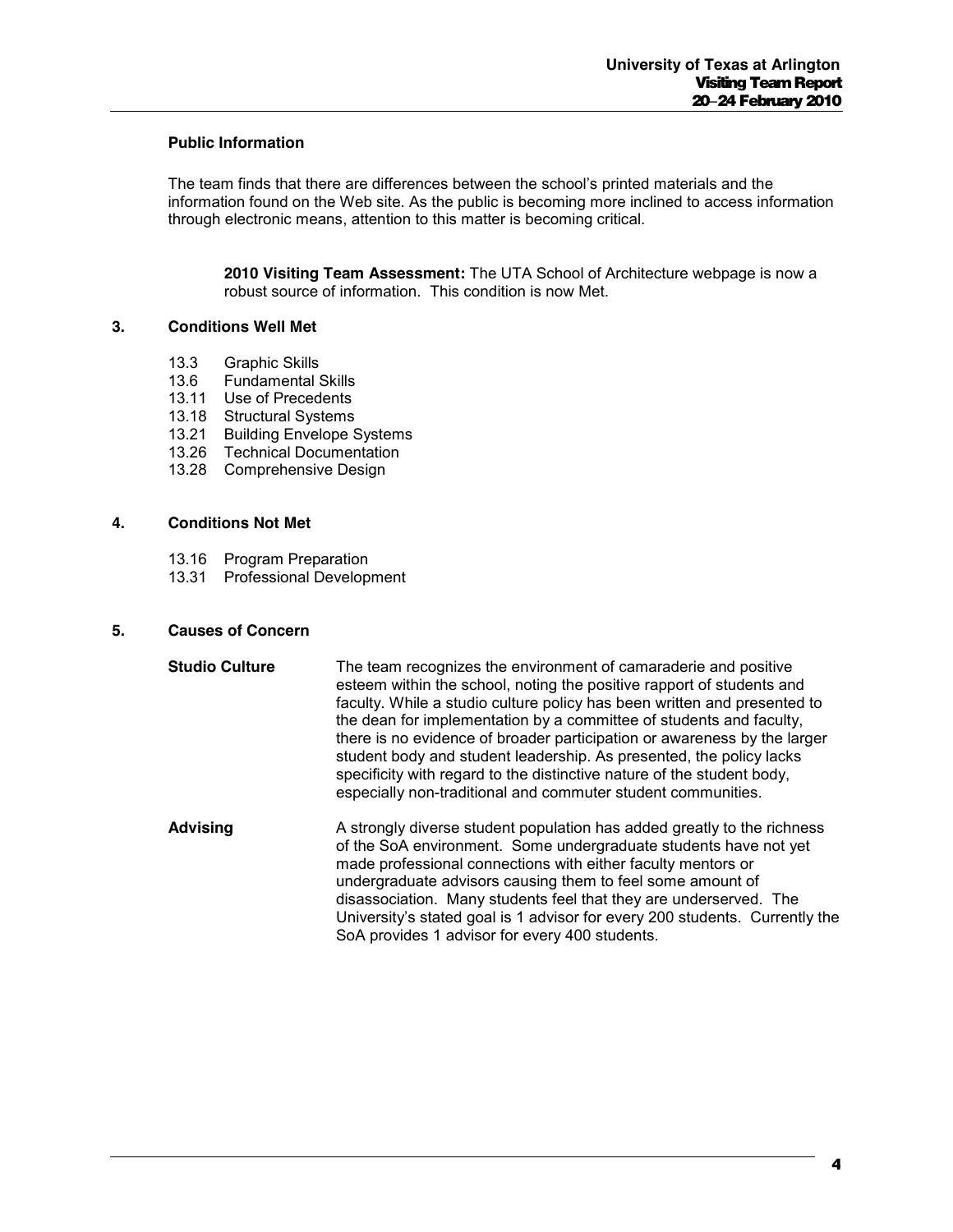### **Public Information**

The team finds that there are differences between the school's printed materials and the information found on the Web site. As the public is becoming more inclined to access information through electronic means, attention to this matter is becoming critical.

**2010 Visiting Team Assessment:** The UTA School of Architecture webpage is now a robust source of information. This condition is now Met.

### **3. Conditions Well Met**

- 13.3 Graphic Skills
- 13.6 Fundamental Skills
- 13.11 Use of Precedents
- 13.18 Structural Systems
- 13.21 Building Envelope Systems
- 13.26 Technical Documentation
- 13.28 Comprehensive Design

### **4. Conditions Not Met**

- 13.16 Program Preparation
- 13.31 Professional Development

#### **5. Causes of Concern**

- **Studio Culture** The team recognizes the environment of camaraderie and positive esteem within the school, noting the positive rapport of students and faculty. While a studio culture policy has been written and presented to the dean for implementation by a committee of students and faculty, there is no evidence of broader participation or awareness by the larger student body and student leadership. As presented, the policy lacks specificity with regard to the distinctive nature of the student body, especially non-traditional and commuter student communities. Advising **A** Strongly diverse student population has added greatly to the richness
	- of the SoA environment. Some undergraduate students have not yet made professional connections with either faculty mentors or undergraduate advisors causing them to feel some amount of disassociation. Many students feel that they are underserved. The University's stated goal is 1 advisor for every 200 students. Currently the SoA provides 1 advisor for every 400 students.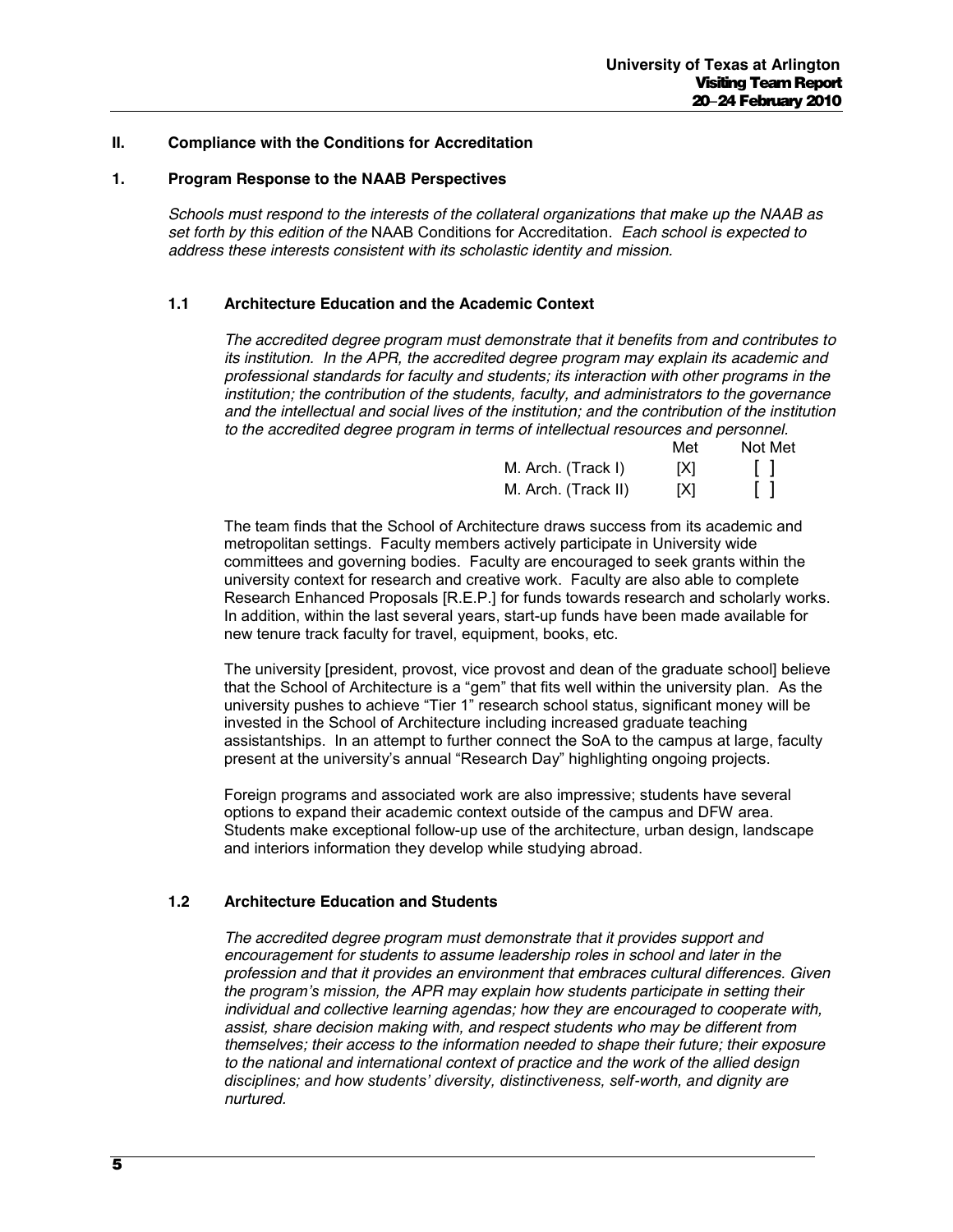### **II. Compliance with the Conditions for Accreditation**

### **1. Program Response to the NAAB Perspectives**

*Schools must respond to the interests of the collateral organizations that make up the NAAB as set forth by this edition of the* NAAB Conditions for Accreditation*. Each school is expected to address these interests consistent with its scholastic identity and mission.*

### **1.1 Architecture Education and the Academic Context**

*The accredited degree program must demonstrate that it benefits from and contributes to its institution. In the APR, the accredited degree program may explain its academic and professional standards for faculty and students; its interaction with other programs in the institution; the contribution of the students, faculty, and administrators to the governance and the intellectual and social lives of the institution; and the contribution of the institution to the accredited degree program in terms of intellectual resources and personnel.*

|                     | Met | Not Met |
|---------------------|-----|---------|
| M. Arch. (Track I)  | [X] | $\Box$  |
| M. Arch. (Track II) | [X] | $\Box$  |

The team finds that the School of Architecture draws success from its academic and metropolitan settings. Faculty members actively participate in University wide committees and governing bodies. Faculty are encouraged to seek grants within the university context for research and creative work. Faculty are also able to complete Research Enhanced Proposals [R.E.P.] for funds towards research and scholarly works. In addition, within the last several years, start-up funds have been made available for new tenure track faculty for travel, equipment, books, etc.

The university [president, provost, vice provost and dean of the graduate school] believe that the School of Architecture is a "gem" that fits well within the university plan. As the university pushes to achieve "Tier 1" research school status, significant money will be invested in the School of Architecture including increased graduate teaching assistantships. In an attempt to further connect the SoA to the campus at large, faculty present at the university's annual "Research Day" highlighting ongoing projects.

Foreign programs and associated work are also impressive; students have several options to expand their academic context outside of the campus and DFW area. Students make exceptional follow-up use of the architecture, urban design, landscape and interiors information they develop while studying abroad.

### **1.2 Architecture Education and Students**

*The accredited degree program must demonstrate that it provides support and encouragement for students to assume leadership roles in school and later in the profession and that it provides an environment that embraces cultural differences. Given the program's mission, the APR may explain how students participate in setting their individual and collective learning agendas; how they are encouraged to cooperate with, assist, share decision making with, and respect students who may be different from themselves; their access to the information needed to shape their future; their exposure to the national and international context of practice and the work of the allied design disciplines; and how students' diversity, distinctiveness, self-worth, and dignity are nurtured.*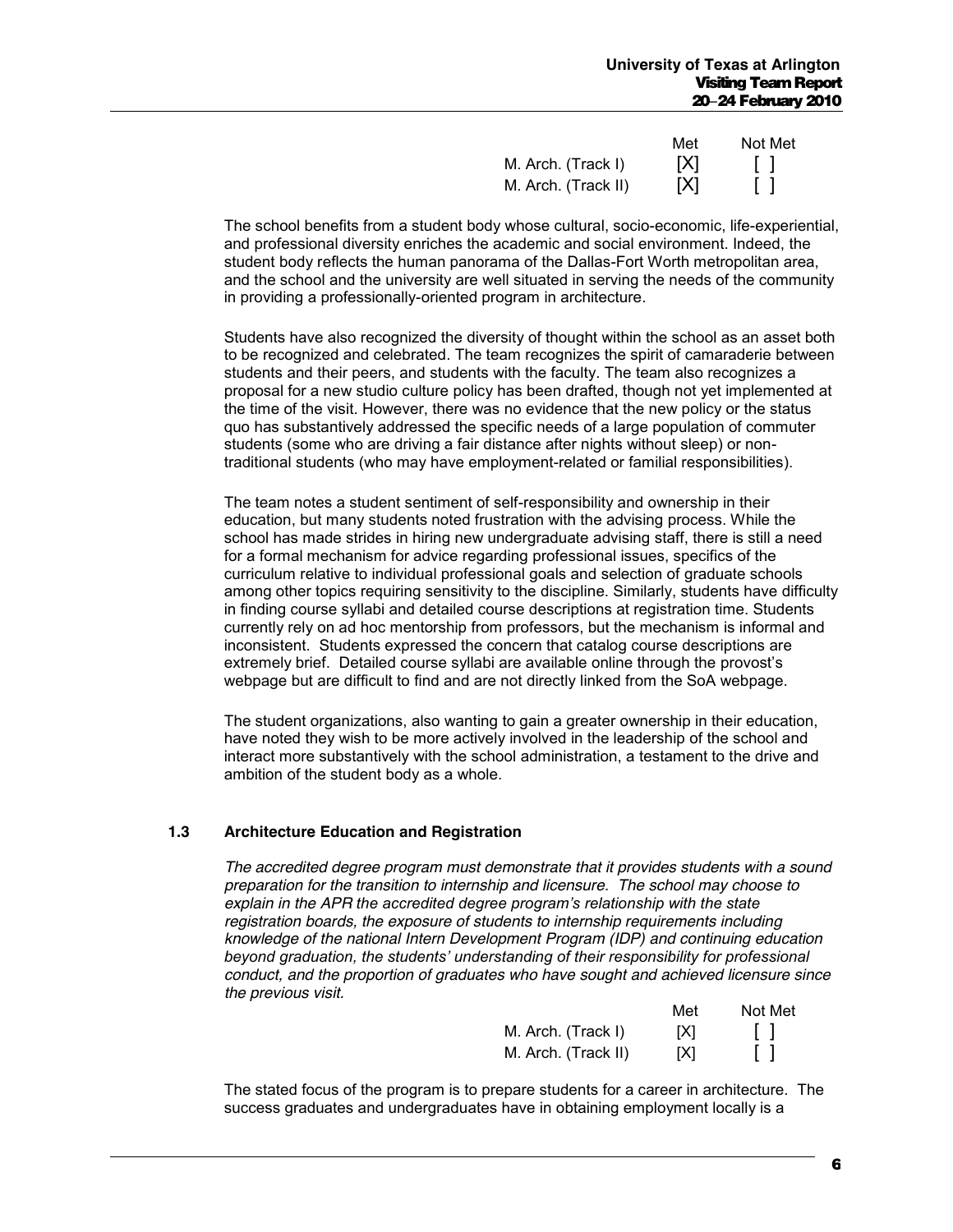|                     | Met | Not Met |
|---------------------|-----|---------|
| M. Arch. (Track I)  | [X] | $\Box$  |
| M. Arch. (Track II) | [X] | $\Box$  |

The school benefits from a student body whose cultural, socio-economic, life-experiential, and professional diversity enriches the academic and social environment. Indeed, the student body reflects the human panorama of the Dallas-Fort Worth metropolitan area, and the school and the university are well situated in serving the needs of the community in providing a professionally-oriented program in architecture.

Students have also recognized the diversity of thought within the school as an asset both to be recognized and celebrated. The team recognizes the spirit of camaraderie between students and their peers, and students with the faculty. The team also recognizes a proposal for a new studio culture policy has been drafted, though not yet implemented at the time of the visit. However, there was no evidence that the new policy or the status quo has substantively addressed the specific needs of a large population of commuter students (some who are driving a fair distance after nights without sleep) or nontraditional students (who may have employment-related or familial responsibilities).

The team notes a student sentiment of self-responsibility and ownership in their education, but many students noted frustration with the advising process. While the school has made strides in hiring new undergraduate advising staff, there is still a need for a formal mechanism for advice regarding professional issues, specifics of the curriculum relative to individual professional goals and selection of graduate schools among other topics requiring sensitivity to the discipline. Similarly, students have difficulty in finding course syllabi and detailed course descriptions at registration time. Students currently rely on ad hoc mentorship from professors, but the mechanism is informal and inconsistent. Students expressed the concern that catalog course descriptions are extremely brief. Detailed course syllabi are available online through the provost's webpage but are difficult to find and are not directly linked from the SoA webpage.

The student organizations, also wanting to gain a greater ownership in their education, have noted they wish to be more actively involved in the leadership of the school and interact more substantively with the school administration, a testament to the drive and ambition of the student body as a whole.

#### **1.3 Architecture Education and Registration**

*The accredited degree program must demonstrate that it provides students with a sound preparation for the transition to internship and licensure. The school may choose to explain in the APR the accredited degree program's relationship with the state registration boards, the exposure of students to internship requirements including knowledge of the national Intern Development Program (IDP) and continuing education beyond graduation, the students' understanding of their responsibility for professional conduct, and the proportion of graduates who have sought and achieved licensure since the previous visit.*

|                     | Met | Not Met |
|---------------------|-----|---------|
| M. Arch. (Track I)  | IXI | $\Box$  |
| M. Arch. (Track II) | IXI | $\Box$  |

The stated focus of the program is to prepare students for a career in architecture. The success graduates and undergraduates have in obtaining employment locally is a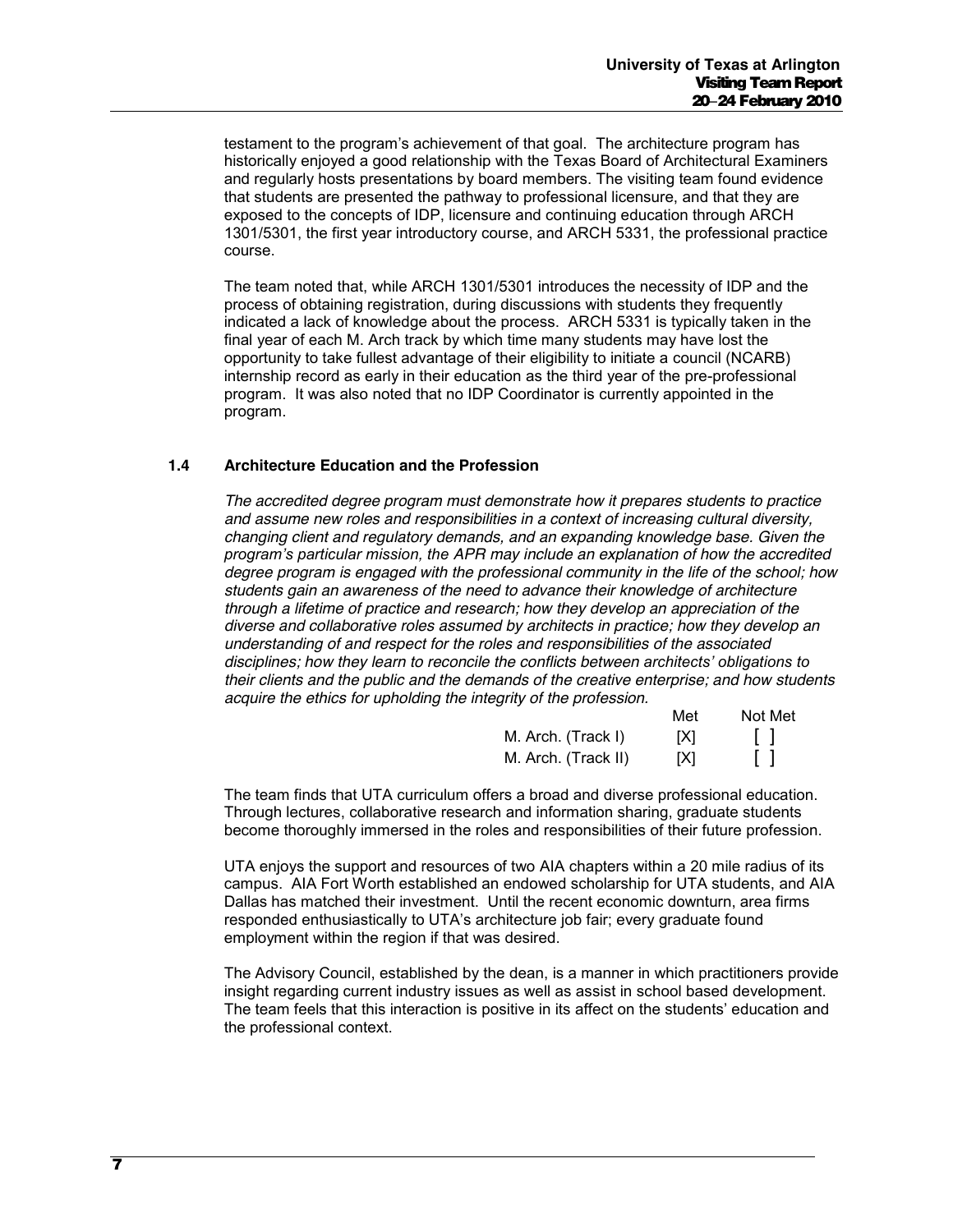testament to the program's achievement of that goal. The architecture program has historically enjoyed a good relationship with the Texas Board of Architectural Examiners and regularly hosts presentations by board members. The visiting team found evidence that students are presented the pathway to professional licensure, and that they are exposed to the concepts of IDP, licensure and continuing education through ARCH 1301/5301, the first year introductory course, and ARCH 5331, the professional practice course.

The team noted that, while ARCH 1301/5301 introduces the necessity of IDP and the process of obtaining registration, during discussions with students they frequently indicated a lack of knowledge about the process. ARCH 5331 is typically taken in the final year of each M. Arch track by which time many students may have lost the opportunity to take fullest advantage of their eligibility to initiate a council (NCARB) internship record as early in their education as the third year of the pre-professional program. It was also noted that no IDP Coordinator is currently appointed in the program.

### **1.4 Architecture Education and the Profession**

*The accredited degree program must demonstrate how it prepares students to practice and assume new roles and responsibilities in a context of increasing cultural diversity, changing client and regulatory demands, and an expanding knowledge base. Given the program's particular mission, the APR may include an explanation of how the accredited degree program is engaged with the professional community in the life of the school; how students gain an awareness of the need to advance their knowledge of architecture through a lifetime of practice and research; how they develop an appreciation of the diverse and collaborative roles assumed by architects in practice; how they develop an understanding of and respect for the roles and responsibilities of the associated disciplines; how they learn to reconcile the conflicts between architects' obligations to their clients and the public and the demands of the creative enterprise; and how students acquire the ethics for upholding the integrity of the profession.*

|                     | Met | Not Met |
|---------------------|-----|---------|
| M. Arch. (Track I)  | [X] | $\perp$ |
| M. Arch. (Track II) | [X] | $\Box$  |

The team finds that UTA curriculum offers a broad and diverse professional education. Through lectures, collaborative research and information sharing, graduate students become thoroughly immersed in the roles and responsibilities of their future profession.

UTA enjoys the support and resources of two AIA chapters within a 20 mile radius of its campus. AIA Fort Worth established an endowed scholarship for UTA students, and AIA Dallas has matched their investment. Until the recent economic downturn, area firms responded enthusiastically to UTA's architecture job fair; every graduate found employment within the region if that was desired.

The Advisory Council, established by the dean, is a manner in which practitioners provide insight regarding current industry issues as well as assist in school based development. The team feels that this interaction is positive in its affect on the students' education and the professional context.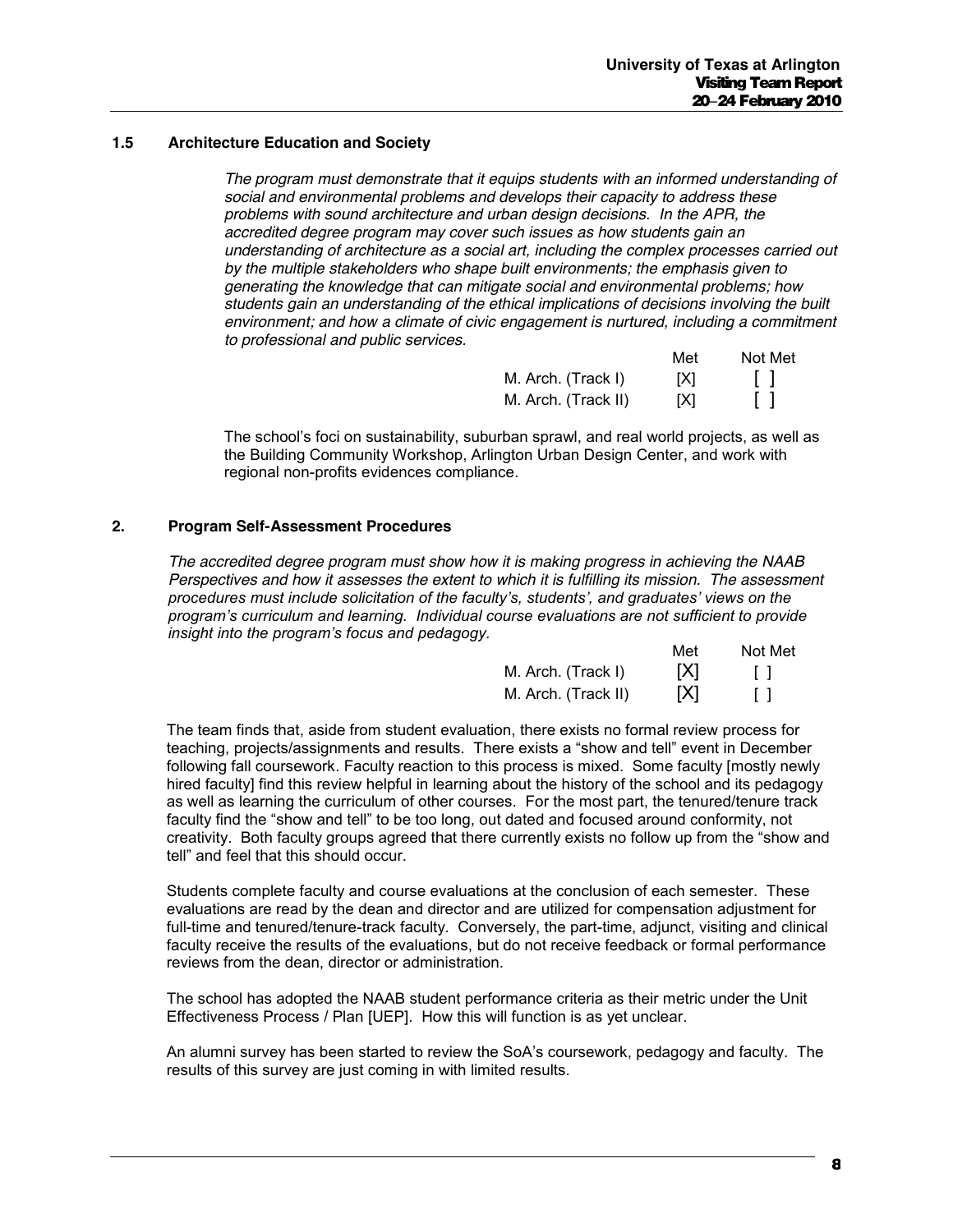### **1.5 Architecture Education and Society**

*The program must demonstrate that it equips students with an informed understanding of social and environmental problems and develops their capacity to address these problems with sound architecture and urban design decisions. In the APR, the accredited degree program may cover such issues as how students gain an understanding of architecture as a social art, including the complex processes carried out by the multiple stakeholders who shape built environments; the emphasis given to generating the knowledge that can mitigate social and environmental problems; how students gain an understanding of the ethical implications of decisions involving the built environment; and how a climate of civic engagement is nurtured, including a commitment to professional and public services.*

|                     | Met | Not Met |
|---------------------|-----|---------|
| M. Arch. (Track I)  | [X] | $\perp$ |
| M. Arch. (Track II) | [X] | $\Box$  |

The school's foci on sustainability, suburban sprawl, and real world projects, as well as the Building Community Workshop, Arlington Urban Design Center, and work with regional non-profits evidences compliance.

### **2. Program Self-Assessment Procedures**

*The accredited degree program must show how it is making progress in achieving the NAAB Perspectives and how it assesses the extent to which it is fulfilling its mission. The assessment procedures must include solicitation of the faculty's, students', and graduates' views on the program's curriculum and learning. Individual course evaluations are not sufficient to provide insight into the program's focus and pedagogy.* Met Not Met

|                     | Met | <b>NOT MET</b> |
|---------------------|-----|----------------|
| M. Arch. (Track I)  | [X] | $\Box$         |
| M. Arch. (Track II) | [X] |                |

The team finds that, aside from student evaluation, there exists no formal review process for teaching, projects/assignments and results. There exists a "show and tell" event in December following fall coursework. Faculty reaction to this process is mixed. Some faculty [mostly newly hired faculty] find this review helpful in learning about the history of the school and its pedagogy as well as learning the curriculum of other courses. For the most part, the tenured/tenure track faculty find the "show and tell" to be too long, out dated and focused around conformity, not creativity. Both faculty groups agreed that there currently exists no follow up from the "show and tell" and feel that this should occur.

Students complete faculty and course evaluations at the conclusion of each semester. These evaluations are read by the dean and director and are utilized for compensation adjustment for full-time and tenured/tenure-track faculty. Conversely, the part-time, adjunct, visiting and clinical faculty receive the results of the evaluations, but do not receive feedback or formal performance reviews from the dean, director or administration.

The school has adopted the NAAB student performance criteria as their metric under the Unit Effectiveness Process / Plan [UEP]. How this will function is as yet unclear.

An alumni survey has been started to review the SoA's coursework, pedagogy and faculty. The results of this survey are just coming in with limited results.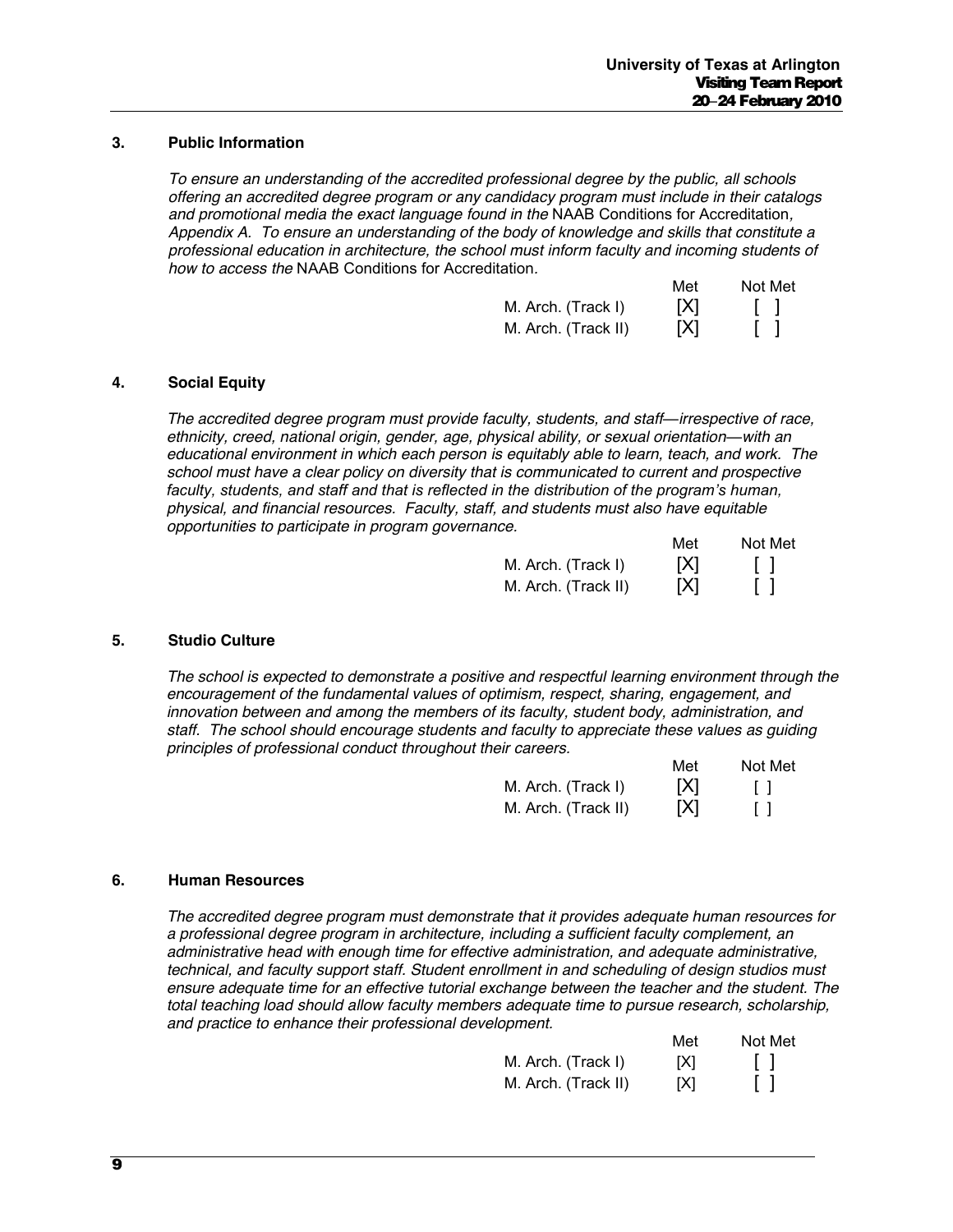### **3. Public Information**

*To ensure an understanding of the accredited professional degree by the public, all schools offering an accredited degree program or any candidacy program must include in their catalogs and promotional media the exact language found in the* NAAB Conditions for Accreditation*, Appendix A. To ensure an understanding of the body of knowledge and skills that constitute a professional education in architecture, the school must inform faculty and incoming students of how to access the* NAAB Conditions for Accreditation*.* Met Not Met

|                     | Met | Not Met |
|---------------------|-----|---------|
| M. Arch. (Track I)  | [X] |         |
| M. Arch. (Track II) | [X] |         |

### **4. Social Equity**

*The accredited degree program must provide faculty, students, and staff—irrespective of race, ethnicity, creed, national origin, gender, age, physical ability, or sexual orientation—with an educational environment in which each person is equitably able to learn, teach, and work. The school must have a clear policy on diversity that is communicated to current and prospective faculty, students, and staff and that is reflected in the distribution of the program's human, physical, and financial resources. Faculty, staff, and students must also have equitable opportunities to participate in program governance.*

|                     | Met | Not Met |
|---------------------|-----|---------|
| M. Arch. (Track I)  | [X] | $\Box$  |
| M. Arch. (Track II) | [X] |         |

### **5. Studio Culture**

*The school is expected to demonstrate a positive and respectful learning environment through the encouragement of the fundamental values of optimism, respect, sharing, engagement, and innovation between and among the members of its faculty, student body, administration, and staff. The school should encourage students and faculty to appreciate these values as guiding principles of professional conduct throughout their careers.*

|                     | Met | Not Met |
|---------------------|-----|---------|
| M. Arch. (Track I)  | [X] | $\perp$ |
| M. Arch. (Track II) | [X] |         |

#### **6. Human Resources**

*The accredited degree program must demonstrate that it provides adequate human resources for a professional degree program in architecture, including a sufficient faculty complement, an administrative head with enough time for effective administration, and adequate administrative, technical, and faculty support staff. Student enrollment in and scheduling of design studios must ensure adequate time for an effective tutorial exchange between the teacher and the student. The total teaching load should allow faculty members adequate time to pursue research, scholarship, and practice to enhance their professional development.*

|                     | Met | Not Met |
|---------------------|-----|---------|
| M. Arch. (Track I)  | [X] | $\Box$  |
| M. Arch. (Track II) | [X] | $\Box$  |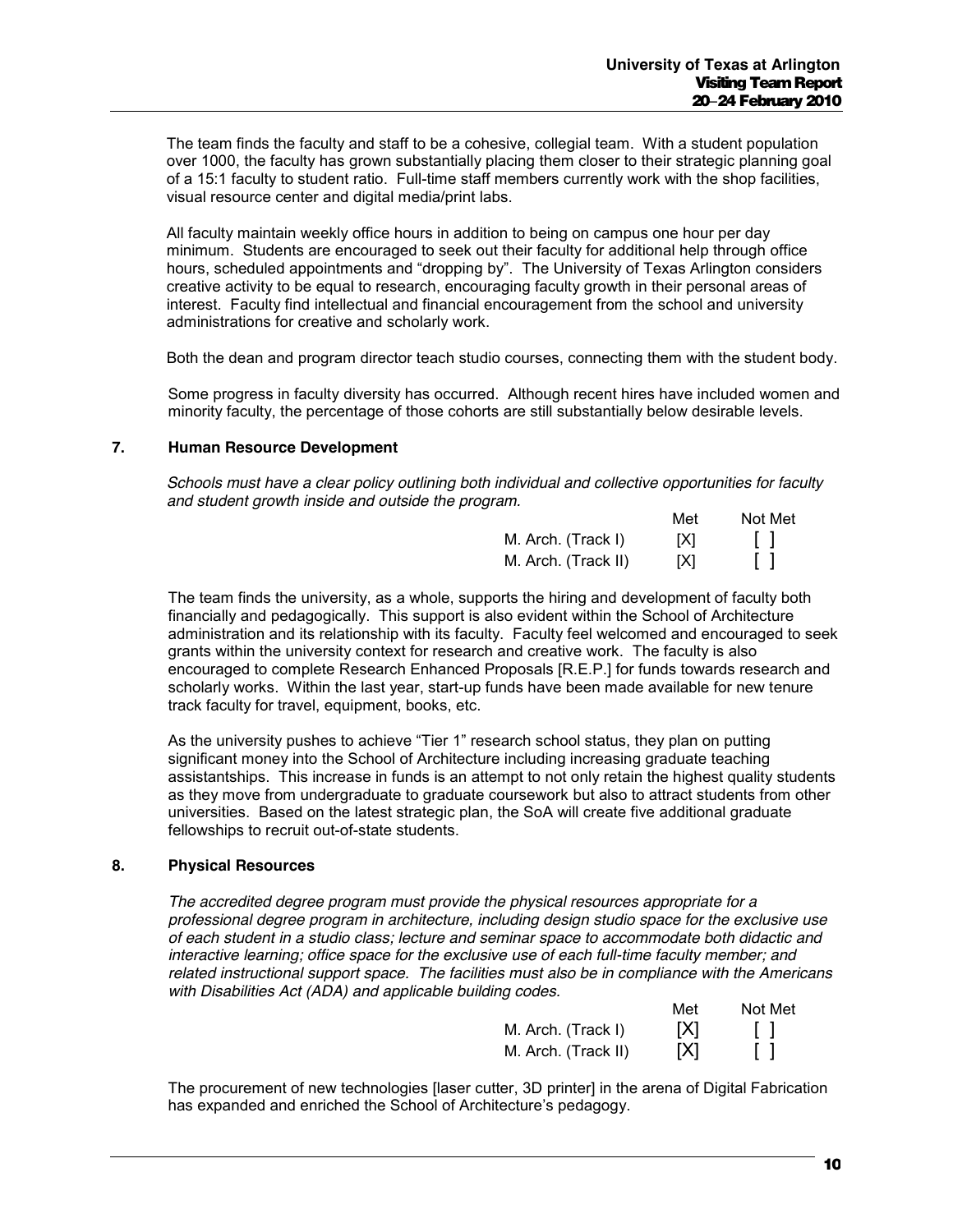The team finds the faculty and staff to be a cohesive, collegial team. With a student population over 1000, the faculty has grown substantially placing them closer to their strategic planning goal of a 15:1 faculty to student ratio. Full-time staff members currently work with the shop facilities, visual resource center and digital media/print labs.

All faculty maintain weekly office hours in addition to being on campus one hour per day minimum. Students are encouraged to seek out their faculty for additional help through office hours, scheduled appointments and "dropping by". The University of Texas Arlington considers creative activity to be equal to research, encouraging faculty growth in their personal areas of interest. Faculty find intellectual and financial encouragement from the school and university administrations for creative and scholarly work.

Both the dean and program director teach studio courses, connecting them with the student body.

Some progress in faculty diversity has occurred. Although recent hires have included women and minority faculty, the percentage of those cohorts are still substantially below desirable levels.

### **7. Human Resource Development**

*Schools must have a clear policy outlining both individual and collective opportunities for faculty and student growth inside and outside the program.*

|                     | Met | Not Met |
|---------------------|-----|---------|
| M. Arch. (Track I)  | [X] | $\perp$ |
| M. Arch. (Track II) | [X] |         |

The team finds the university, as a whole, supports the hiring and development of faculty both financially and pedagogically. This support is also evident within the School of Architecture administration and its relationship with its faculty. Faculty feel welcomed and encouraged to seek grants within the university context for research and creative work. The faculty is also encouraged to complete Research Enhanced Proposals [R.E.P.] for funds towards research and scholarly works. Within the last year, start-up funds have been made available for new tenure track faculty for travel, equipment, books, etc.

As the university pushes to achieve "Tier 1" research school status, they plan on putting significant money into the School of Architecture including increasing graduate teaching assistantships. This increase in funds is an attempt to not only retain the highest quality students as they move from undergraduate to graduate coursework but also to attract students from other universities. Based on the latest strategic plan, the SoA will create five additional graduate fellowships to recruit out-of-state students.

#### **8. Physical Resources**

*The accredited degree program must provide the physical resources appropriate for a professional degree program in architecture, including design studio space for the exclusive use of each student in a studio class; lecture and seminar space to accommodate both didactic and interactive learning; office space for the exclusive use of each full-time faculty member; and related instructional support space. The facilities must also be in compliance with the Americans with Disabilities Act (ADA) and applicable building codes.*

|                     | Met | Not Met |
|---------------------|-----|---------|
| M. Arch. (Track I)  | [X] | $\Box$  |
| M. Arch. (Track II) | [X] | $\Box$  |

The procurement of new technologies [laser cutter, 3D printer] in the arena of Digital Fabrication has expanded and enriched the School of Architecture's pedagogy.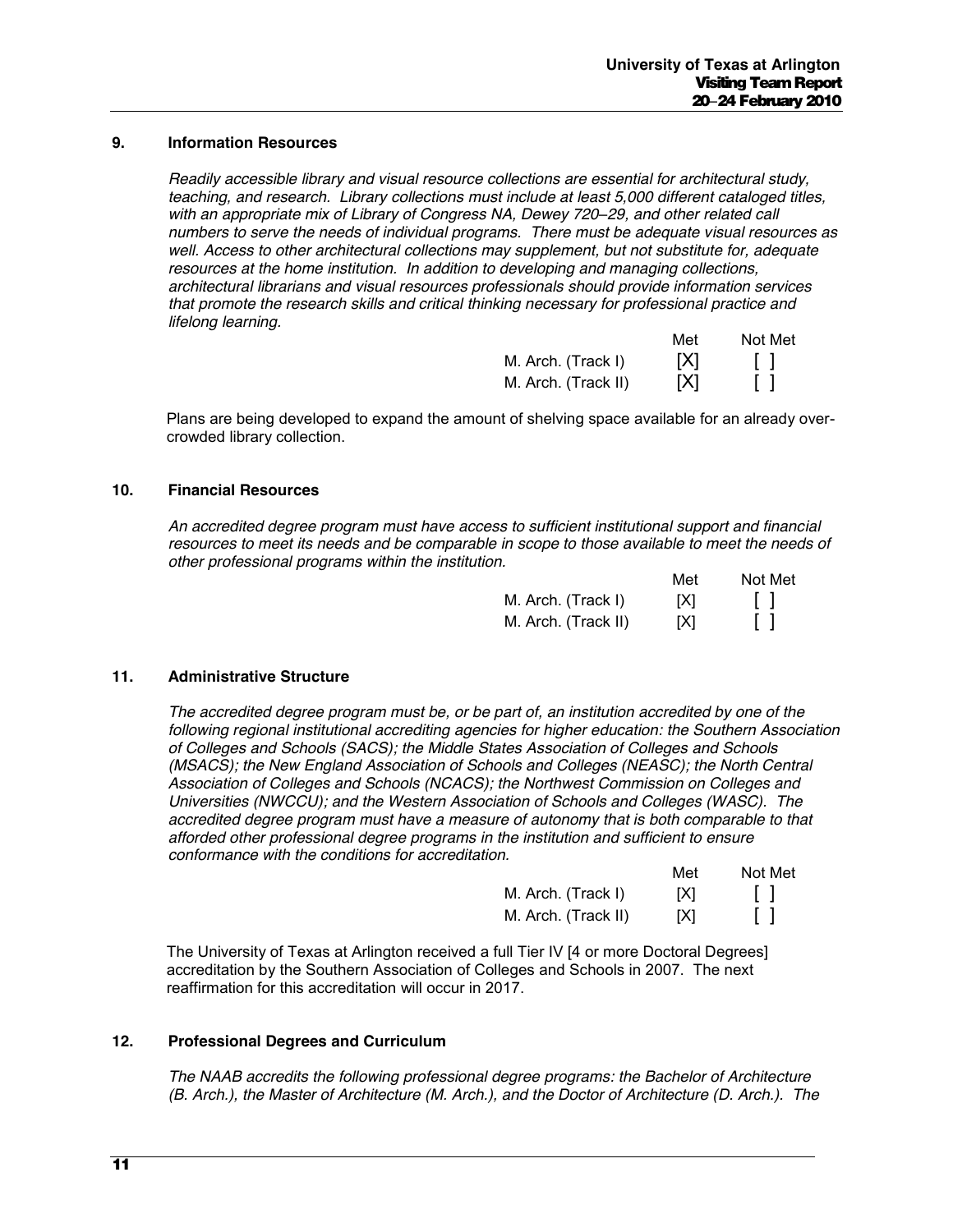#### **9. Information Resources**

*Readily accessible library and visual resource collections are essential for architectural study, teaching, and research. Library collections must include at least 5,000 different cataloged titles, with an appropriate mix of Library of Congress NA, Dewey 720–29, and other related call numbers to serve the needs of individual programs. There must be adequate visual resources as well. Access to other architectural collections may supplement, but not substitute for, adequate resources at the home institution. In addition to developing and managing collections, architectural librarians and visual resources professionals should provide information services that promote the research skills and critical thinking necessary for professional practice and lifelong learning.*

|                     | Met | Not Met |
|---------------------|-----|---------|
| M. Arch. (Track I)  | [X] |         |
| M. Arch. (Track II) | [X] |         |

Plans are being developed to expand the amount of shelving space available for an already overcrowded library collection.

#### **10. Financial Resources**

*An accredited degree program must have access to sufficient institutional support and financial resources to meet its needs and be comparable in scope to those available to meet the needs of other professional programs within the institution.*

|                     | Met | Not Met |
|---------------------|-----|---------|
| M. Arch. (Track I)  | [X] | $\Box$  |
| M. Arch. (Track II) | [X] | Γl      |

### **11. Administrative Structure**

*The accredited degree program must be, or be part of, an institution accredited by one of the following regional institutional accrediting agencies for higher education: the Southern Association of Colleges and Schools (SACS); the Middle States Association of Colleges and Schools (MSACS); the New England Association of Schools and Colleges (NEASC); the North Central Association of Colleges and Schools (NCACS); the Northwest Commission on Colleges and Universities (NWCCU); and the Western Association of Schools and Colleges (WASC). The accredited degree program must have a measure of autonomy that is both comparable to that afforded other professional degree programs in the institution and sufficient to ensure conformance with the conditions for accreditation.*

| Not Met           |
|-------------------|
| $\Box$            |
|                   |
| Met<br>[X]<br>[X] |

The University of Texas at Arlington received a full Tier IV [4 or more Doctoral Degrees] accreditation by the Southern Association of Colleges and Schools in 2007. The next reaffirmation for this accreditation will occur in 2017.

### **12. Professional Degrees and Curriculum**

*The NAAB accredits the following professional degree programs: the Bachelor of Architecture (B. Arch.), the Master of Architecture (M. Arch.), and the Doctor of Architecture (D. Arch.). The*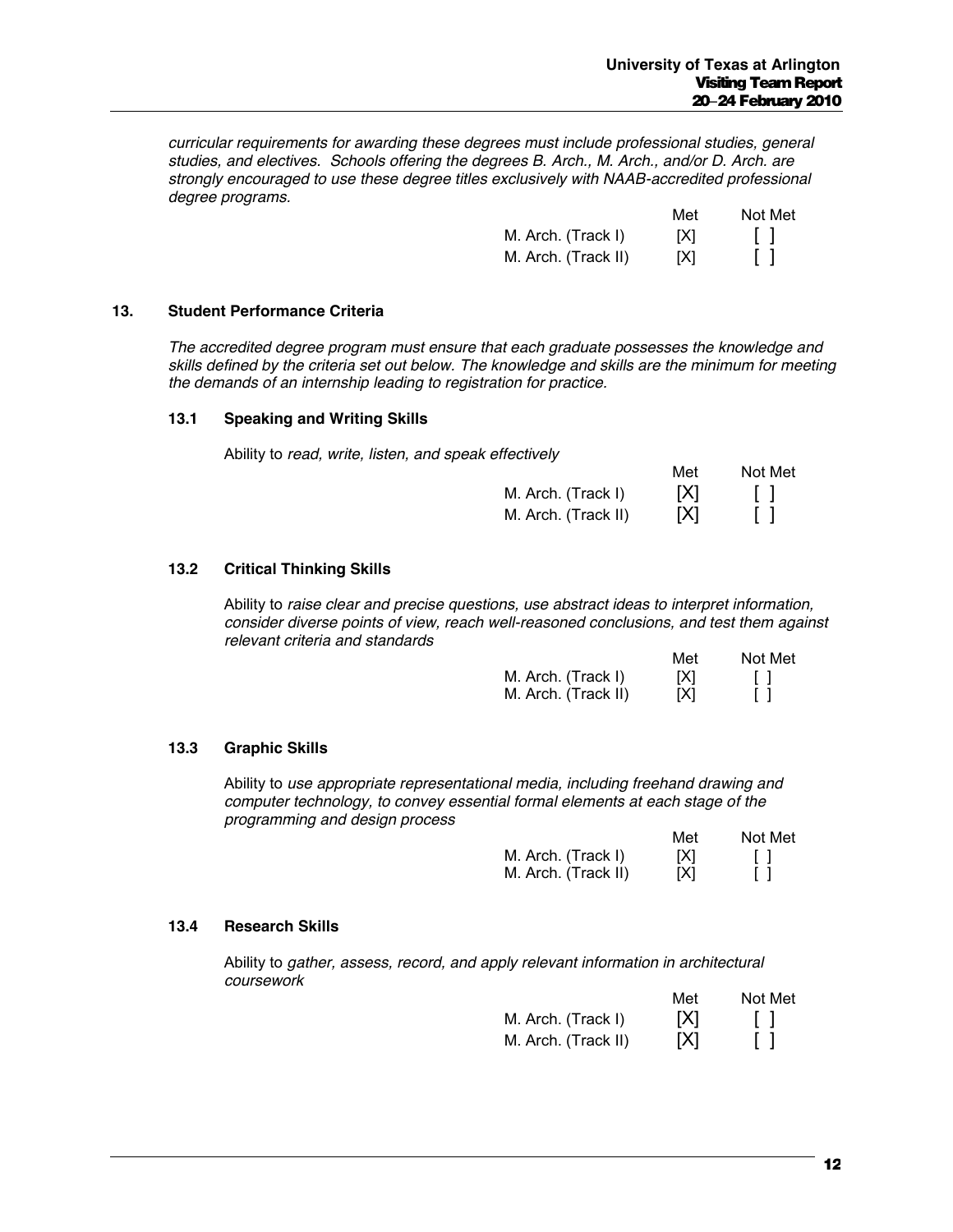*curricular requirements for awarding these degrees must include professional studies, general studies, and electives. Schools offering the degrees B. Arch., M. Arch., and/or D. Arch. are strongly encouraged to use these degree titles exclusively with NAAB-accredited professional degree programs.* Met Not Met

|                     | Met   | Not Met |
|---------------------|-------|---------|
| M. Arch. (Track I)  | - IXI | $\Box$  |
| M. Arch. (Track II) | [X]   | $\Box$  |

### **13. Student Performance Criteria**

*The accredited degree program must ensure that each graduate possesses the knowledge and skills defined by the criteria set out below. The knowledge and skills are the minimum for meeting the demands of an internship leading to registration for practice.*

### **13.1 Speaking and Writing Skills**

Ability to *read, write, listen, and speak effectively*

| , , , , , , , , ,   |     |         |
|---------------------|-----|---------|
|                     | Met | Not Met |
| M. Arch. (Track I)  | [X] | $\Box$  |
| M. Arch. (Track II) | [X] |         |

### **13.2 Critical Thinking Skills**

Ability to *raise clear and precise questions, use abstract ideas to interpret information, consider diverse points of view, reach well-reasoned conclusions, and test them against relevant criteria and standards* Mot Not Mot

|                     | Met | <b>NOT MET</b> |
|---------------------|-----|----------------|
| M. Arch. (Track I)  | [X] | $\Box$         |
| M. Arch. (Track II) | [X] | $\perp$        |

#### **13.3 Graphic Skills**

Ability to *use appropriate representational media, including freehand drawing and computer technology, to convey essential formal elements at each stage of the programming and design process*

|                     | Met | Not Met |
|---------------------|-----|---------|
| M. Arch. (Track I)  | [X] | $\perp$ |
| M. Arch. (Track II) | [X] |         |

#### **13.4 Research Skills**

Ability to *gather, assess, record, and apply relevant information in architectural coursework*

|                     | Met | Not Met      |
|---------------------|-----|--------------|
| M. Arch. (Track I)  | [X] | $\mathbf{1}$ |
| M. Arch. (Track II) | [X] |              |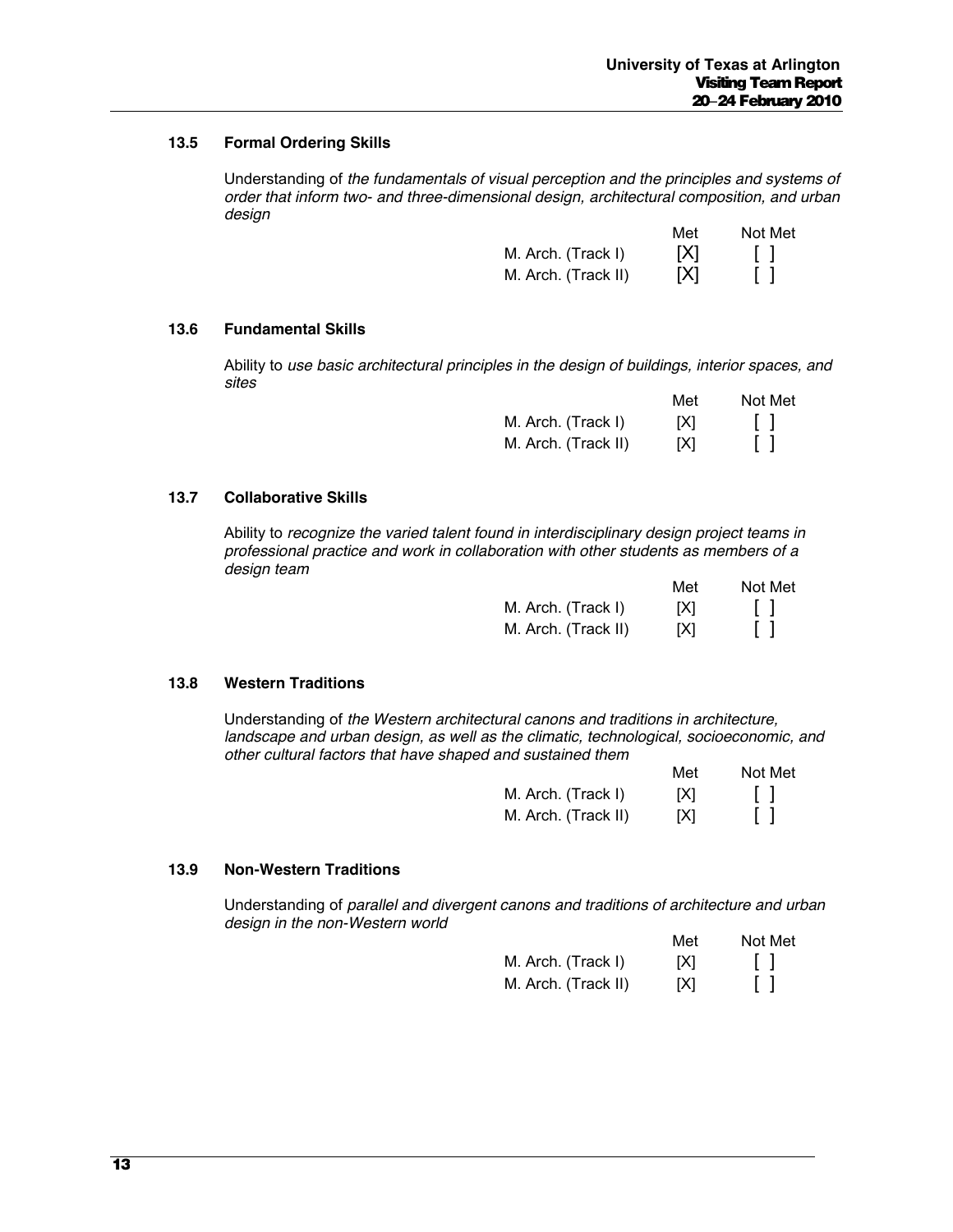### **13.5 Formal Ordering Skills**

Understanding of *the fundamentals of visual perception and the principles and systems of order that inform two- and three-dimensional design, architectural composition, and urban design*

|                     | Met | Not Met |
|---------------------|-----|---------|
| M. Arch. (Track I)  | [X] | $\Box$  |
| M. Arch. (Track II) | [X] | $\Box$  |

### **13.6 Fundamental Skills**

Ability to *use basic architectural principles in the design of buildings, interior spaces, and sites* Met Not Met

|                     | Met | Not Met |
|---------------------|-----|---------|
| M. Arch. (Track I)  | [X] | $\perp$ |
| M. Arch. (Track II) | [X] | $\Box$  |

### **13.7 Collaborative Skills**

Ability to *recognize the varied talent found in interdisciplinary design project teams in professional practice and work in collaboration with other students as members of a design team*

|                     | Met | Not Met |
|---------------------|-----|---------|
| M. Arch. (Track I)  | [X] | $\perp$ |
| M. Arch. (Track II) | [X] |         |

#### **13.8 Western Traditions**

Understanding of *the Western architectural canons and traditions in architecture, landscape and urban design, as well as the climatic, technological, socioeconomic, and other cultural factors that have shaped and sustained them*

|                     | Met | Not Met |
|---------------------|-----|---------|
| M. Arch. (Track I)  | [X] | $\perp$ |
| M. Arch. (Track II) | [X] |         |

#### **13.9 Non-Western Traditions**

Understanding of *parallel and divergent canons and traditions of architecture and urban design in the non-Western world*

|                     | Met | Not Met           |
|---------------------|-----|-------------------|
| M. Arch. (Track I)  | [X] | $\Box$            |
| M. Arch. (Track II) | [X] | $\lceil$ $\rceil$ |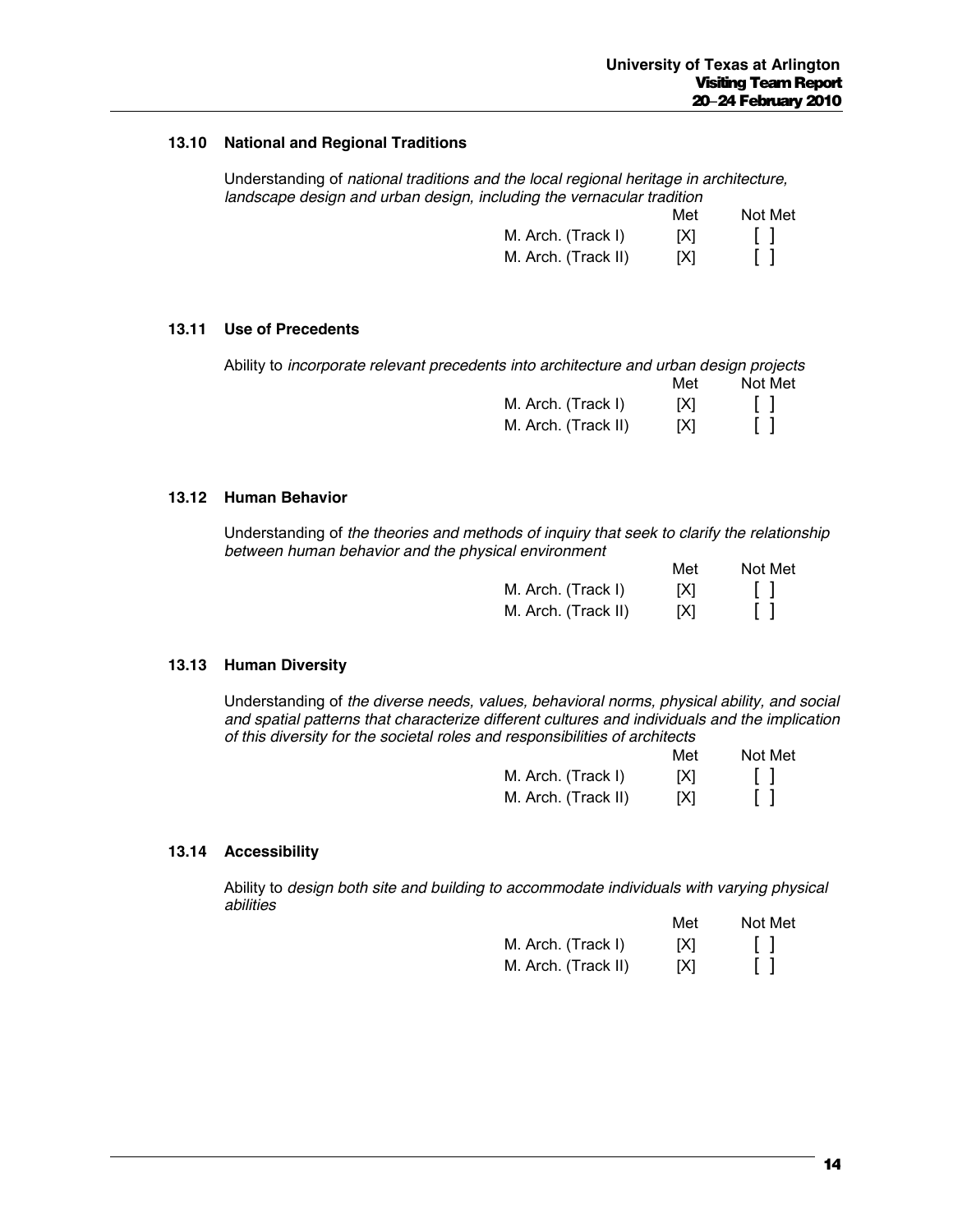### **13.10 National and Regional Traditions**

Understanding of *national traditions and the local regional heritage in architecture, landscape design and urban design, including the vernacular tradition* Met Not Met

|                     | Met | <b>NOT MET</b> |
|---------------------|-----|----------------|
| M. Arch. (Track I)  | [X] | $\perp$        |
| M. Arch. (Track II) | [X] |                |

### **13.11 Use of Precedents**

| Ability to incorporate relevant precedents into architecture and urban design projects |     |         |
|----------------------------------------------------------------------------------------|-----|---------|
|                                                                                        | Met | Not Met |
| M. Arch. (Track I)                                                                     | [X] |         |

| M. Arch. (Track I)  | IХJ |  |
|---------------------|-----|--|
| M. Arch. (Track II) | [X] |  |

### **13.12 Human Behavior**

Understanding of *the theories and methods of inquiry that seek to clarify the relationship between human behavior and the physical environment* Met Not Met

|                     | Met | Not Me |
|---------------------|-----|--------|
| M. Arch. (Track I)  | [X] | $\Box$ |
| M. Arch. (Track II) | [X] | $\Box$ |

#### **13.13 Human Diversity**

Understanding of *the diverse needs, values, behavioral norms, physical ability, and social and spatial patterns that characterize different cultures and individuals and the implication of this diversity for the societal roles and responsibilities of architects*

|                     | Met | Not Met |
|---------------------|-----|---------|
| M. Arch. (Track I)  | [X] | $\Box$  |
| M. Arch. (Track II) | [X] | $\Box$  |

#### **13.14 Accessibility**

Ability to *design both site and building to accommodate individuals with varying physical abilities*

|                     | Met | Not Met |
|---------------------|-----|---------|
| M. Arch. (Track I)  | [X] | $\Box$  |
| M. Arch. (Track II) | [X] |         |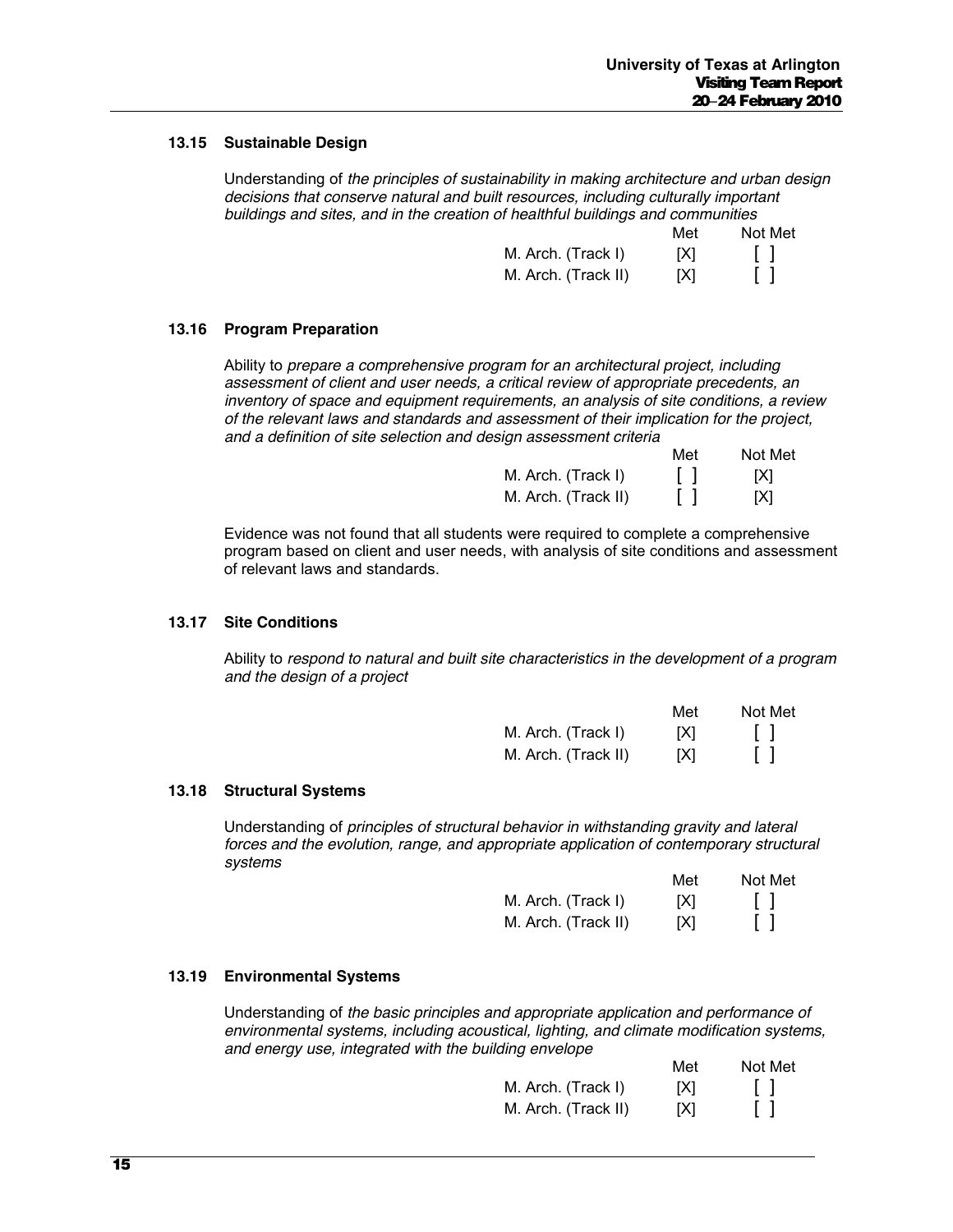### **13.15 Sustainable Design**

Understanding of *the principles of sustainability in making architecture and urban design decisions that conserve natural and built resources, including culturally important buildings and sites, and in the creation of healthful buildings and communities* Met Not Met

|                     | IVIVL | טו זיטר |
|---------------------|-------|---------|
| M. Arch. (Track I)  | [X]   | $\Box$  |
| M. Arch. (Track II) | [X]   | $\Box$  |

### **13.16 Program Preparation**

Ability to *prepare a comprehensive program for an architectural project, including assessment of client and user needs, a critical review of appropriate precedents, an inventory of space and equipment requirements, an analysis of site conditions, a review of the relevant laws and standards and assessment of their implication for the project, and a definition of site selection and design assessment criteria*

|                     | Met     | Not Met |
|---------------------|---------|---------|
| M. Arch. (Track I)  | $\perp$ | [X]     |
| M. Arch. (Track II) |         | [X]     |

Evidence was not found that all students were required to complete a comprehensive program based on client and user needs, with analysis of site conditions and assessment of relevant laws and standards.

#### **13.17 Site Conditions**

Ability to *respond to natural and built site characteristics in the development of a program and the design of a project*

|                     | Met | Not Met |
|---------------------|-----|---------|
| M. Arch. (Track I)  | [X] | $\perp$ |
| M. Arch. (Track II) | [X] |         |

#### **13.18 Structural Systems**

Understanding of *principles of structural behavior in withstanding gravity and lateral forces and the evolution, range, and appropriate application of contemporary structural systems*

|                     | Met | Not Met |
|---------------------|-----|---------|
| M. Arch. (Track I)  | [X] | $\perp$ |
| M. Arch. (Track II) | [X] | $\Box$  |

#### **13.19 Environmental Systems**

Understanding of *the basic principles and appropriate application and performance of environmental systems, including acoustical, lighting, and climate modification systems, and energy use, integrated with the building envelope*

|                     | Met | Not Met |
|---------------------|-----|---------|
| M. Arch. (Track I)  | [X] | $\Box$  |
| M. Arch. (Track II) | [X] | $\Box$  |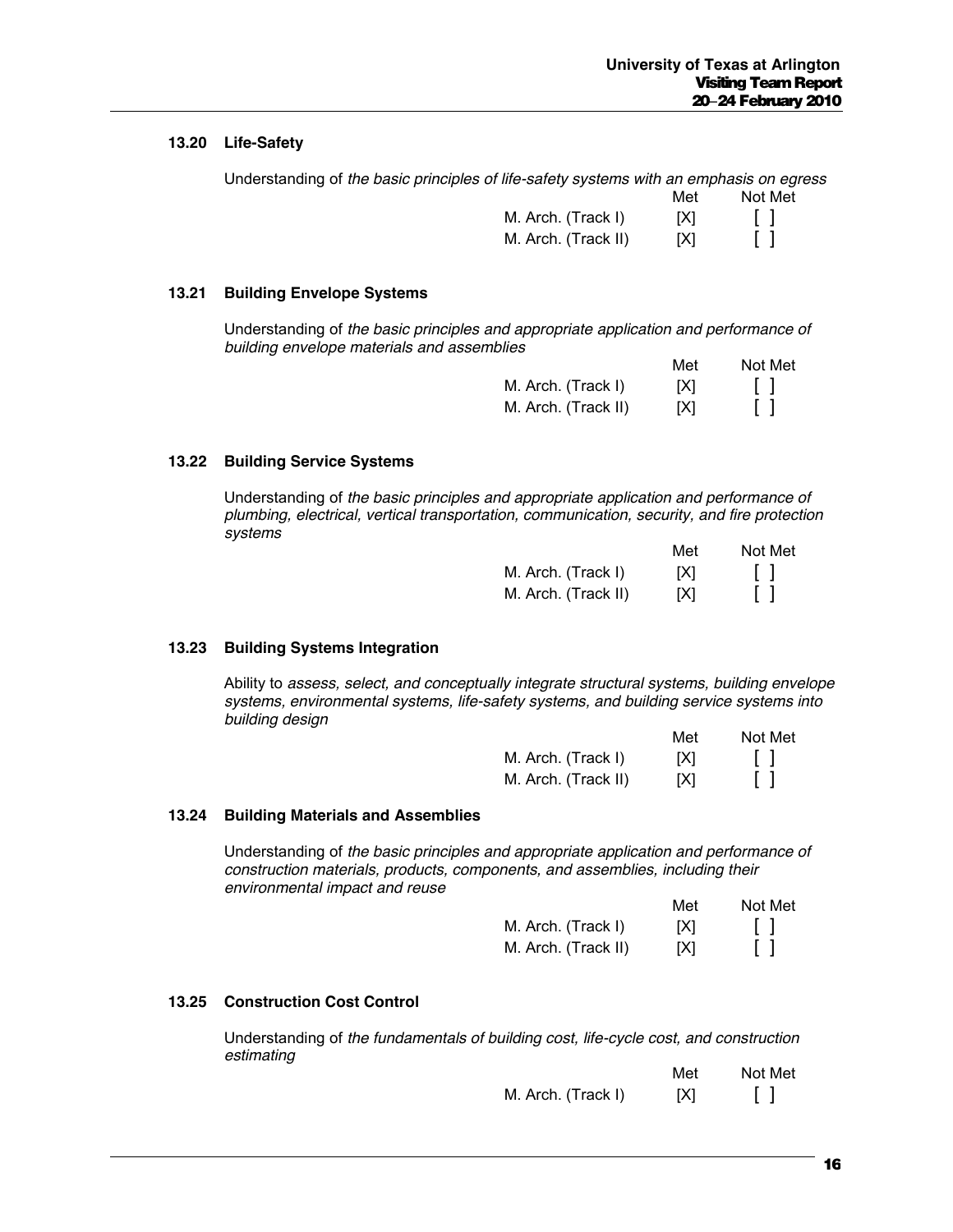### **13.20 Life-Safety**

| Understanding of the basic principles of life-safety systems with an emphasis on egress |                     |      |         |
|-----------------------------------------------------------------------------------------|---------------------|------|---------|
|                                                                                         |                     | Met  | Not Met |
|                                                                                         | M. Arch. (Track I)  | TX1  |         |
|                                                                                         | M. Arch. (Track II) | TX1. |         |

### **13.21 Building Envelope Systems**

Understanding of *the basic principles and appropriate application and performance of building envelope materials and assemblies*

|                     | Met | Not Met |
|---------------------|-----|---------|
| M. Arch. (Track I)  | [X] | $\Box$  |
| M. Arch. (Track II) | [X] | $\Box$  |

### **13.22 Building Service Systems**

Understanding of *the basic principles and appropriate application and performance of plumbing, electrical, vertical transportation, communication, security, and fire protection systems*

|                     | Met | Not Met |
|---------------------|-----|---------|
| M. Arch. (Track I)  | [X] | $\Box$  |
| M. Arch. (Track II) | [X] | $\Box$  |

### **13.23 Building Systems Integration**

Ability to *assess, select, and conceptually integrate structural systems, building envelope systems, environmental systems, life-safety systems, and building service systems into building design*

|                     | Met | Not Met |
|---------------------|-----|---------|
| M. Arch. (Track I)  | [X] | $\Box$  |
| M. Arch. (Track II) | [X] | $\Box$  |

### **13.24 Building Materials and Assemblies**

Understanding of *the basic principles and appropriate application and performance of construction materials, products, components, and assemblies, including their environmental impact and reuse*

|                     | Met | Not Met |
|---------------------|-----|---------|
| M. Arch. (Track I)  | [X] | $\Box$  |
| M. Arch. (Track II) | IXI |         |

### **13.25 Construction Cost Control**

Understanding of *the fundamentals of building cost, life-cycle cost, and construction estimating*

|                    | Met | Not Met |
|--------------------|-----|---------|
| M. Arch. (Track I) | [X] | $\Box$  |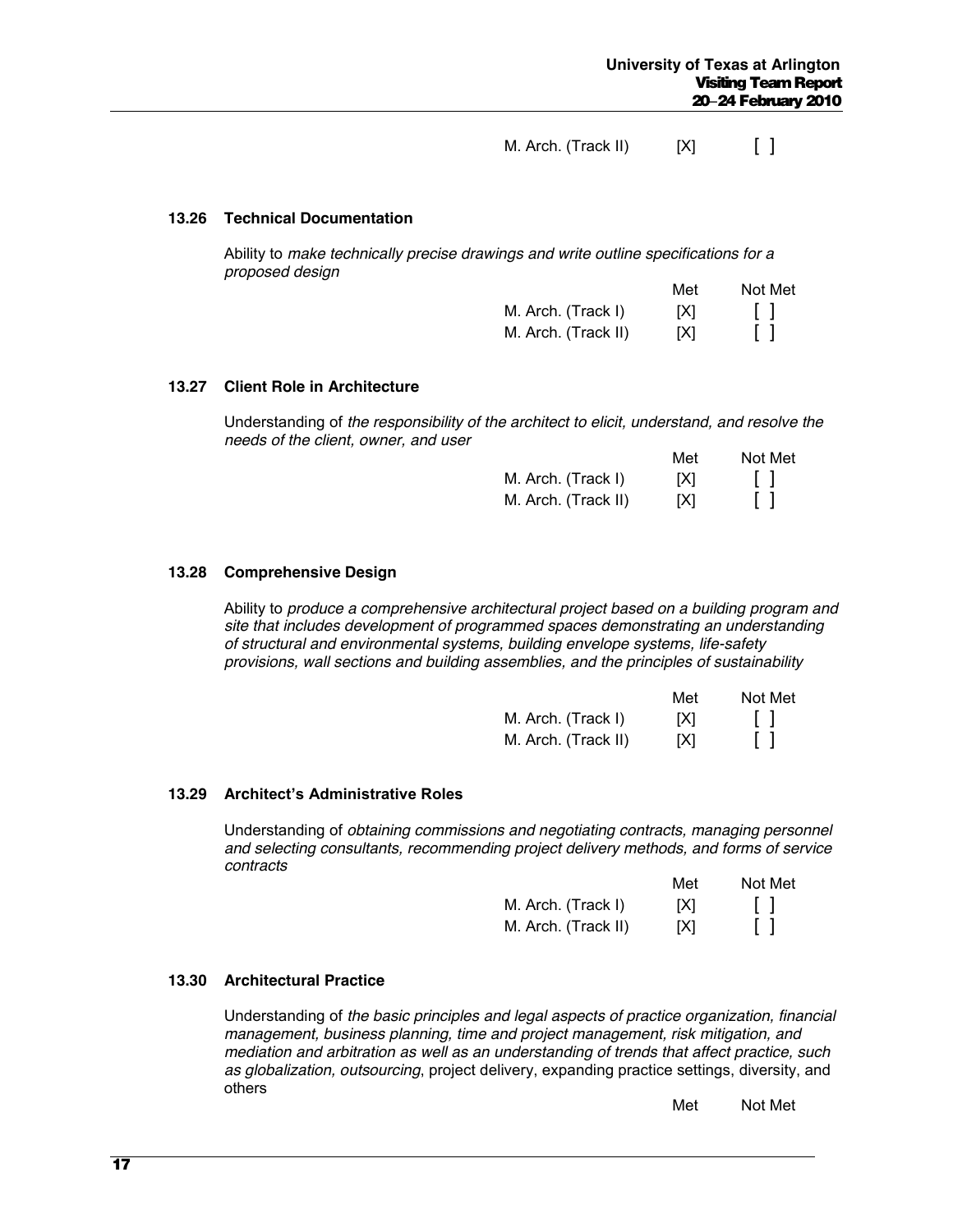M. Arch. (Track II)  $[X]$   $[1]$ 

### **13.26 Technical Documentation**

Ability to *make technically precise drawings and write outline specifications for a proposed design*

|                     | Met | Not Met |
|---------------------|-----|---------|
| M. Arch. (Track I)  | [X] | $\Box$  |
| M. Arch. (Track II) | [X] | $\Box$  |

#### **13.27 Client Role in Architecture**

Understanding of *the responsibility of the architect to elicit, understand, and resolve the needs of the client, owner, and user*

|                     | Met | Not Met |
|---------------------|-----|---------|
| M. Arch. (Track I)  | [X] | $\Box$  |
| M. Arch. (Track II) | [X] | $\Box$  |

#### **13.28 Comprehensive Design**

Ability to *produce a comprehensive architectural project based on a building program and site that includes development of programmed spaces demonstrating an understanding of structural and environmental systems, building envelope systems, life-safety provisions, wall sections and building assemblies, and the principles of sustainability*

|                     | Met | Not Met |
|---------------------|-----|---------|
| M. Arch. (Track I)  | [X] | $\perp$ |
| M. Arch. (Track II) | [X] | $\Box$  |

#### **13.29 Architect's Administrative Roles**

Understanding of *obtaining commissions and negotiating contracts, managing personnel and selecting consultants, recommending project delivery methods, and forms of service contracts*

|                     | Met | Not Met |
|---------------------|-----|---------|
| M. Arch. (Track I)  | [X] | $\Box$  |
| M. Arch. (Track II) | [X] | $\Box$  |

#### **13.30 Architectural Practice**

Understanding of *the basic principles and legal aspects of practice organization, financial management, business planning, time and project management, risk mitigation, and mediation and arbitration as well as an understanding of trends that affect practice, such as globalization, outsourcing*, project delivery, expanding practice settings, diversity, and others

Met Not Met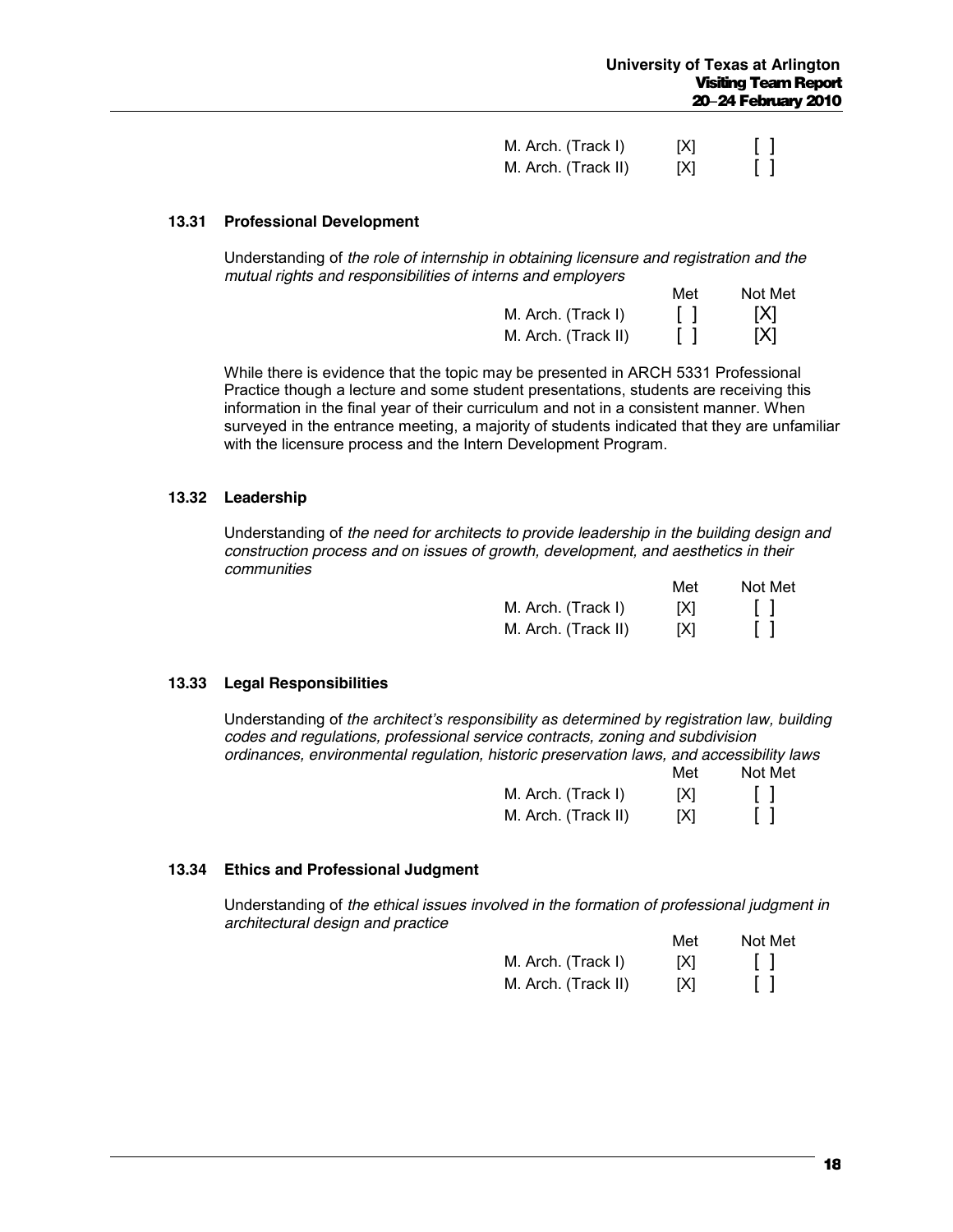| M. Arch. (Track I)  | [X] | $\Box$ |
|---------------------|-----|--------|
| M. Arch. (Track II) | [X] | $\Box$ |

### **13.31 Professional Development**

Understanding of *the role of internship in obtaining licensure and registration and the mutual rights and responsibilities of interns and employers*

| io and chipioyoro   |        |         |
|---------------------|--------|---------|
|                     | Met    | Not Met |
| M. Arch. (Track I)  | $\Box$ | [X]     |
| M. Arch. (Track II) | $\Box$ | [X]     |

While there is evidence that the topic may be presented in ARCH 5331 Professional Practice though a lecture and some student presentations, students are receiving this information in the final year of their curriculum and not in a consistent manner. When surveyed in the entrance meeting, a majority of students indicated that they are unfamiliar with the licensure process and the Intern Development Program.

#### **13.32 Leadership**

Understanding of *the need for architects to provide leadership in the building design and construction process and on issues of growth, development, and aesthetics in their communities*

|                     | Met | Not Met |
|---------------------|-----|---------|
| M. Arch. (Track I)  | [X] | $\perp$ |
| M. Arch. (Track II) | [X] |         |

#### **13.33 Legal Responsibilities**

Understanding of *the architect's responsibility as determined by registration law, building codes and regulations, professional service contracts, zoning and subdivision ordinances, environmental regulation, historic preservation laws, and accessibility laws* Met Not Met

|                     | Mer | <b>NOT ME</b> |
|---------------------|-----|---------------|
| M. Arch. (Track I)  | [X] |               |
| M. Arch. (Track II) | [X] |               |

#### **13.34 Ethics and Professional Judgment**

Understanding of *the ethical issues involved in the formation of professional judgment in architectural design and practice*

|                     | Met | Not Met |
|---------------------|-----|---------|
| M. Arch. (Track I)  | [X] | $\Box$  |
| M. Arch. (Track II) | [X] | $\Box$  |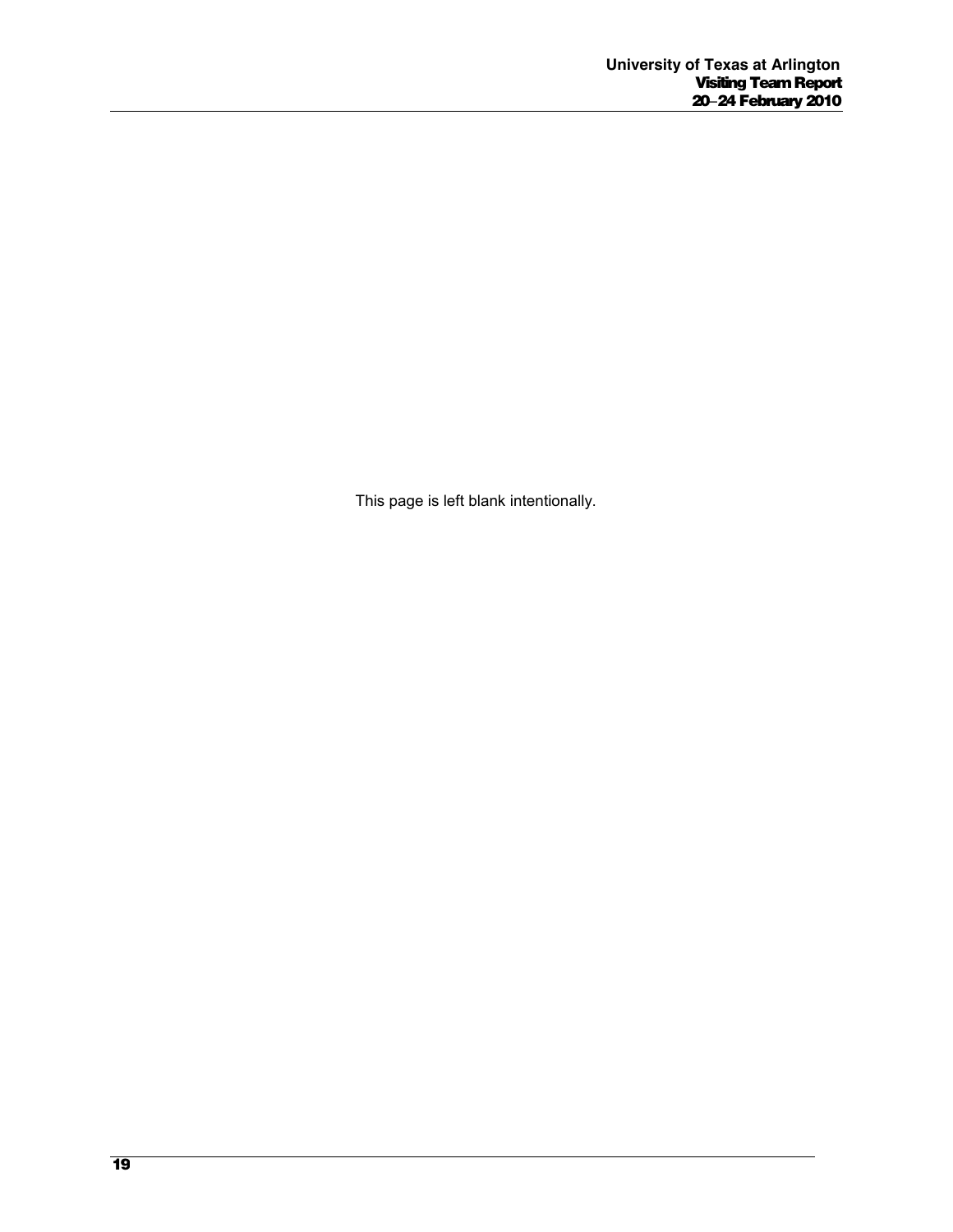This page is left blank intentionally.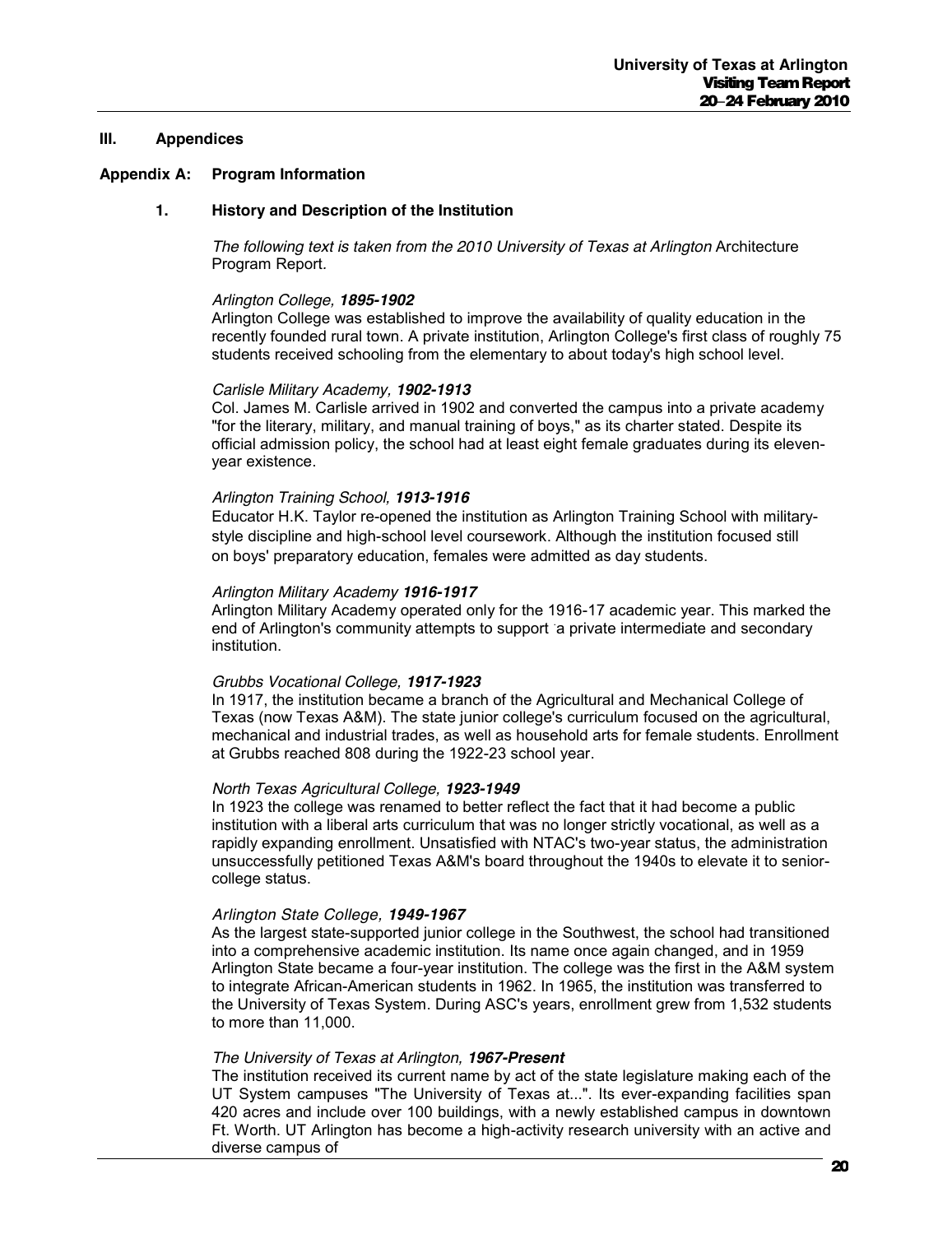### **III. Appendices**

#### **Appendix A: Program Information**

### **1. History and Description of the Institution**

*The following text is taken from the 2010 University of Texas at Arlington* Architecture Program Report*.*

#### *Arlington College, 1895-1902*

Arlington College was established to improve the availability of quality education in the recently founded rural town. A private institution, Arlington College's first class of roughly 75 students received schooling from the elementary to about today's high school level.

#### *Carlisle Military Academy, 1902-1913*

Col. James M. Carlisle arrived in 1902 and converted the campus into a private academy "for the literary, military, and manual training of boys," as its charter stated. Despite its official admission policy, the school had at least eight female graduates during its elevenyear existence.

#### *Arlington Training School, 1913-1916*

Educator H.K. Taylor re-opened the institution as Arlington Training School with militarystyle discipline and high-school level coursework. Although the institution focused still on boys' preparatory education, females were admitted as day students.

#### *Arlington Military Academy 1916-1917*

Arlington Military Academy operated only for the 1916-17 academic year. This marked the end of Arlington's community attempts to support a private intermediate and secondary institution.

#### *Grubbs Vocational College, 1917-1923*

In 1917, the institution became a branch of the Agricultural and Mechanical College of Texas (now Texas A&M). The state junior college's curriculum focused on the agricultural, mechanical and industrial trades, as well as household arts for female students. Enrollment at Grubbs reached 808 during the 1922-23 school year.

#### *North Texas Agricultural College, 1923-1949*

In 1923 the college was renamed to better reflect the fact that it had become a public institution with a liberal arts curriculum that was no longer strictly vocational, as well as a rapidly expanding enrollment. Unsatisfied with NTAC's two-year status, the administration unsuccessfully petitioned Texas A&M's board throughout the 1940s to elevate it to seniorcollege status.

#### *Arlington State College, 1949-1967*

As the largest state-supported junior college in the Southwest, the school had transitioned into a comprehensive academic institution. Its name once again changed, and in 1959 Arlington State became a four-year institution. The college was the first in the A&M system to integrate African-American students in 1962. In 1965, the institution was transferred to the University of Texas System. During ASC's years, enrollment grew from 1,532 students to more than 11,000.

#### *The University of Texas at Arlington, 1967-Present*

The institution received its current name by act of the state legislature making each of the UT System campuses "The University of Texas at...". Its ever-expanding facilities span 420 acres and include over 100 buildings, with a newly established campus in downtown Ft. Worth. UT Arlington has become a high-activity research university with an active and diverse campus of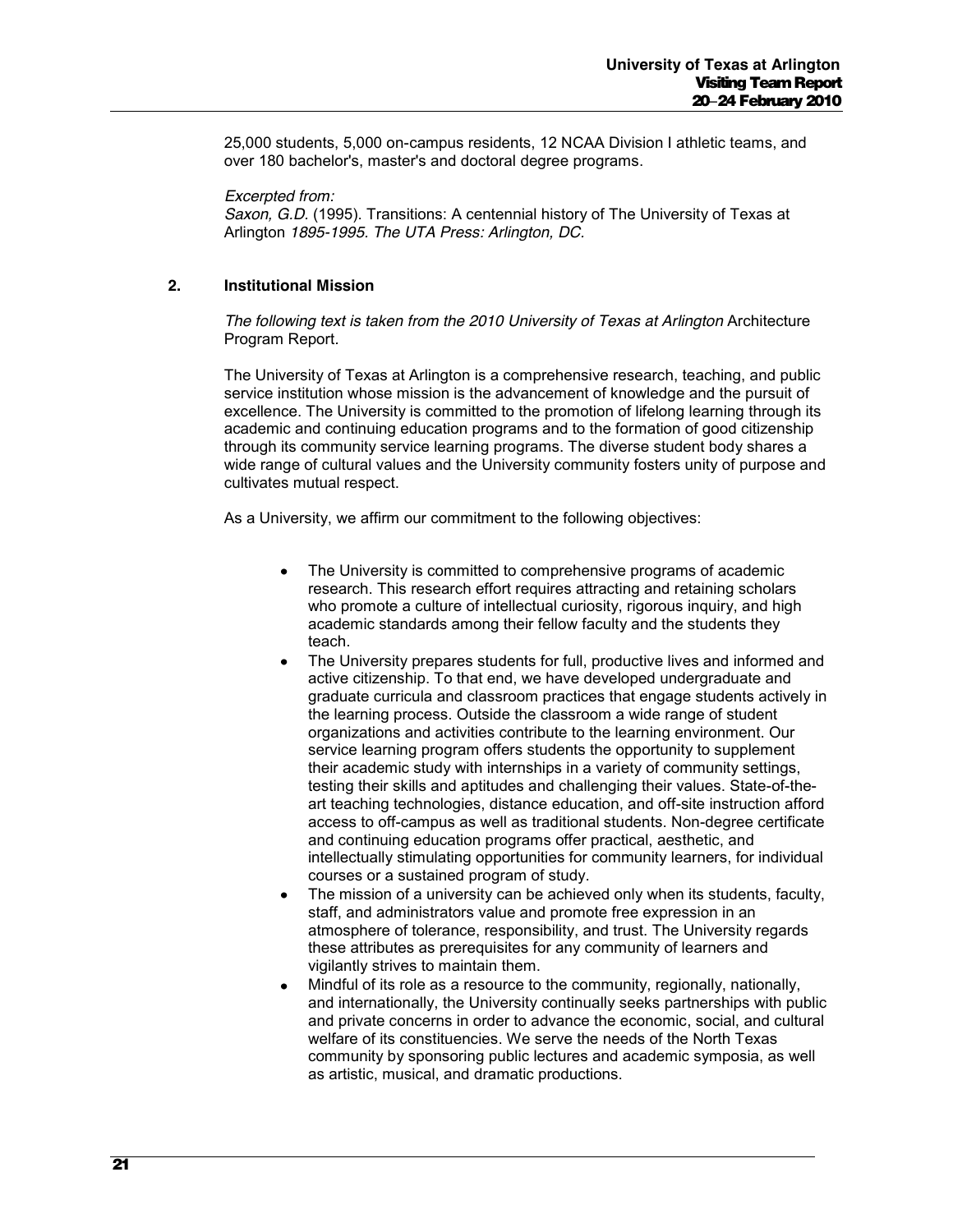25,000 students, 5,000 on-campus residents, 12 NCAA Division I athletic teams, and over 180 bachelor's, master's and doctoral degree programs.

*Excerpted from:*

*Saxon, G.D.* (1995). Transitions: A centennial history of The University of Texas at Arlington *1895-1995. The UTA Press: Arlington, DC.*

### **2. Institutional Mission**

*The following text is taken from the 2010 University of Texas at Arlington* Architecture Program Report*.*

The University of Texas at Arlington is a comprehensive research, teaching, and public service institution whose mission is the advancement of knowledge and the pursuit of excellence. The University is committed to the promotion of lifelong learning through its academic and continuing education programs and to the formation of good citizenship through its community service learning programs. The diverse student body shares a wide range of cultural values and the University community fosters unity of purpose and cultivates mutual respect.

As a University, we affirm our commitment to the following objectives:

- The University is committed to comprehensive programs of academic research. This research effort requires attracting and retaining scholars who promote a culture of intellectual curiosity, rigorous inquiry, and high academic standards among their fellow faculty and the students they teach.
- The University prepares students for full, productive lives and informed and active citizenship. To that end, we have developed undergraduate and graduate curricula and classroom practices that engage students actively in the learning process. Outside the classroom a wide range of student organizations and activities contribute to the learning environment. Our service learning program offers students the opportunity to supplement their academic study with internships in a variety of community settings, testing their skills and aptitudes and challenging their values. State-of-theart teaching technologies, distance education, and off-site instruction afford access to off-campus as well as traditional students. Non-degree certificate and continuing education programs offer practical, aesthetic, and intellectually stimulating opportunities for community learners, for individual courses or a sustained program of study.
- The mission of a university can be achieved only when its students, faculty, staff, and administrators value and promote free expression in an atmosphere of tolerance, responsibility, and trust. The University regards these attributes as prerequisites for any community of learners and vigilantly strives to maintain them.
- Mindful of its role as a resource to the community, regionally, nationally, and internationally, the University continually seeks partnerships with public and private concerns in order to advance the economic, social, and cultural welfare of its constituencies. We serve the needs of the North Texas community by sponsoring public lectures and academic symposia, as well as artistic, musical, and dramatic productions.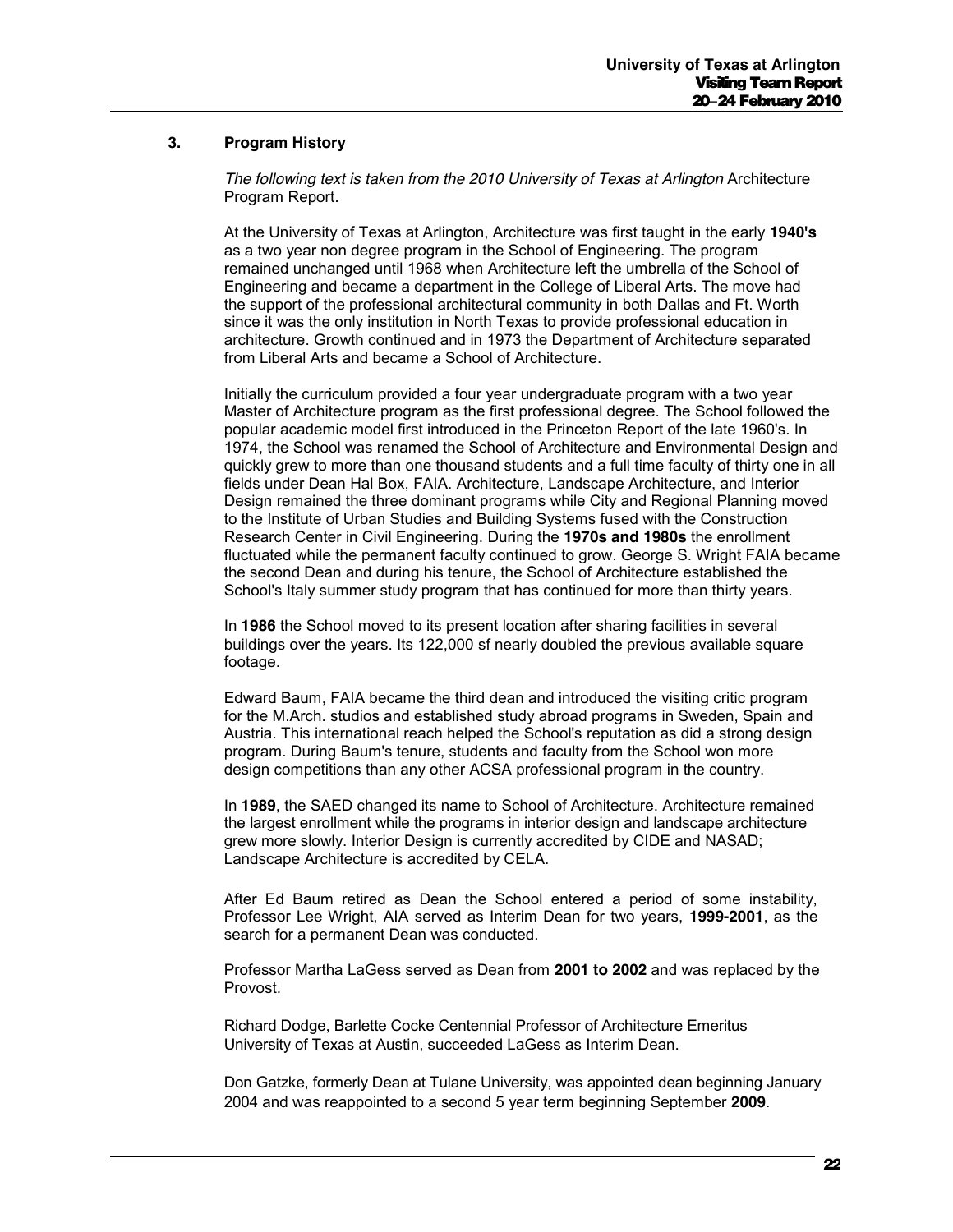### **3. Program History**

*The following text is taken from the 2010 University of Texas at Arlington* Architecture Program Report*.*

At the University of Texas at Arlington, Architecture was first taught in the early **1940's**  as a two year non degree program in the School of Engineering. The program remained unchanged until 1968 when Architecture left the umbrella of the School of Engineering and became a department in the College of Liberal Arts. The move had the support of the professional architectural community in both Dallas and Ft. Worth since it was the only institution in North Texas to provide professional education in architecture. Growth continued and in 1973 the Department of Architecture separated from Liberal Arts and became a School of Architecture.

Initially the curriculum provided a four year undergraduate program with a two year Master of Architecture program as the first professional degree. The School followed the popular academic model first introduced in the Princeton Report of the late 1960's. In 1974, the School was renamed the School of Architecture and Environmental Design and quickly grew to more than one thousand students and a full time faculty of thirty one in all fields under Dean Hal Box, FAIA. Architecture, Landscape Architecture, and Interior Design remained the three dominant programs while City and Regional Planning moved to the Institute of Urban Studies and Building Systems fused with the Construction Research Center in Civil Engineering. During the **1970s and 1980s** the enrollment fluctuated while the permanent faculty continued to grow. George S. Wright FAIA became the second Dean and during his tenure, the School of Architecture established the School's Italy summer study program that has continued for more than thirty years.

In **1986** the School moved to its present location after sharing facilities in several buildings over the years. Its 122,000 sf nearly doubled the previous available square footage.

Edward Baum, FAIA became the third dean and introduced the visiting critic program for the M.Arch. studios and established study abroad programs in Sweden, Spain and Austria. This international reach helped the School's reputation as did a strong design program. During Baum's tenure, students and faculty from the School won more design competitions than any other ACSA professional program in the country.

In **1989**, the SAED changed its name to School of Architecture. Architecture remained the largest enrollment while the programs in interior design and landscape architecture grew more slowly. Interior Design is currently accredited by CIDE and NASAD; Landscape Architecture is accredited by CELA.

After Ed Baum retired as Dean the School entered a period of some instability, Professor Lee Wright, AIA served as Interim Dean for two years, **1999-2001**, as the search for a permanent Dean was conducted.

Professor Martha LaGess served as Dean from **2001 to 2002** and was replaced by the Provost.

Richard Dodge, Barlette Cocke Centennial Professor of Architecture Emeritus University of Texas at Austin, succeeded LaGess as Interim Dean.

Don Gatzke, formerly Dean at Tulane University, was appointed dean beginning January 2004 and was reappointed to a second 5 year term beginning September **2009**.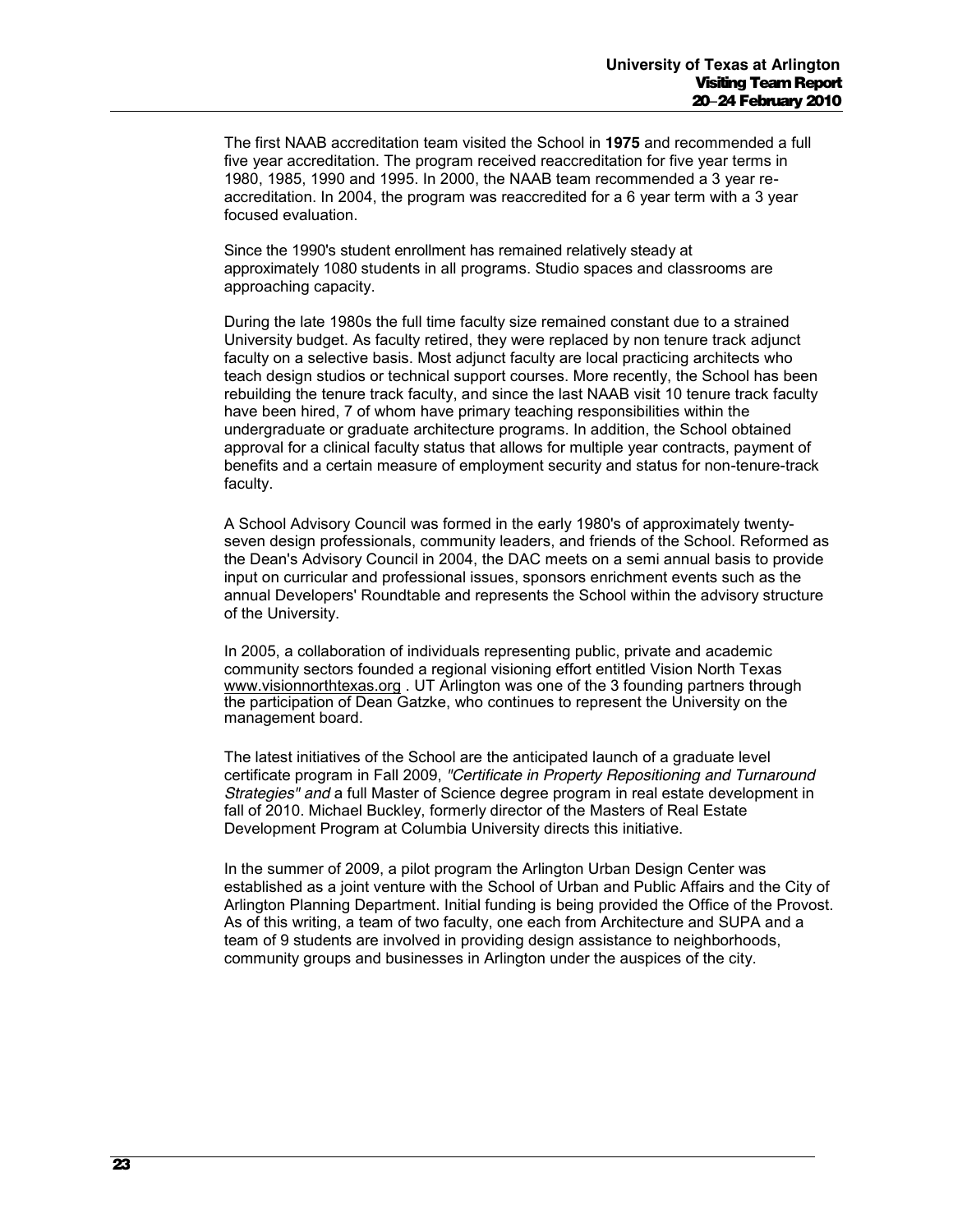The first NAAB accreditation team visited the School in **1975** and recommended a full five year accreditation. The program received reaccreditation for five year terms in 1980, 1985, 1990 and 1995. In 2000, the NAAB team recommended a 3 year reaccreditation. In 2004, the program was reaccredited for a 6 year term with a 3 year focused evaluation.

Since the 1990's student enrollment has remained relatively steady at approximately 1080 students in all programs. Studio spaces and classrooms are approaching capacity.

During the late 1980s the full time faculty size remained constant due to a strained University budget. As faculty retired, they were replaced by non tenure track adjunct faculty on a selective basis. Most adjunct faculty are local practicing architects who teach design studios or technical support courses. More recently, the School has been rebuilding the tenure track faculty, and since the last NAAB visit 10 tenure track faculty have been hired, 7 of whom have primary teaching responsibilities within the undergraduate or graduate architecture programs. In addition, the School obtained approval for a clinical faculty status that allows for multiple year contracts, payment of benefits and a certain measure of employment security and status for non-tenure-track faculty.

A School Advisory Council was formed in the early 1980's of approximately twentyseven design professionals, community leaders, and friends of the School. Reformed as the Dean's Advisory Council in 2004, the DAC meets on a semi annual basis to provide input on curricular and professional issues, sponsors enrichment events such as the annual Developers' Roundtable and represents the School within the advisory structure of the University.

In 2005, a collaboration of individuals representing public, private and academic community sectors founded a regional visioning effort entitled Vision North Texas www.visionnorthtexas.org . UT Arlington was one of the 3 founding partners through the participation of Dean Gatzke, who continues to represent the University on the management board.

The latest initiatives of the School are the anticipated launch of a graduate level certificate program in Fall 2009, *"Certificate in Property Repositioning and Turnaround Strategies" and* a full Master of Science degree program in real estate development in fall of 2010. Michael Buckley, formerly director of the Masters of Real Estate Development Program at Columbia University directs this initiative.

In the summer of 2009, a pilot program the Arlington Urban Design Center was established as a joint venture with the School of Urban and Public Affairs and the City of Arlington Planning Department. Initial funding is being provided the Office of the Provost. As of this writing, a team of two faculty, one each from Architecture and SUPA and a team of 9 students are involved in providing design assistance to neighborhoods, community groups and businesses in Arlington under the auspices of the city.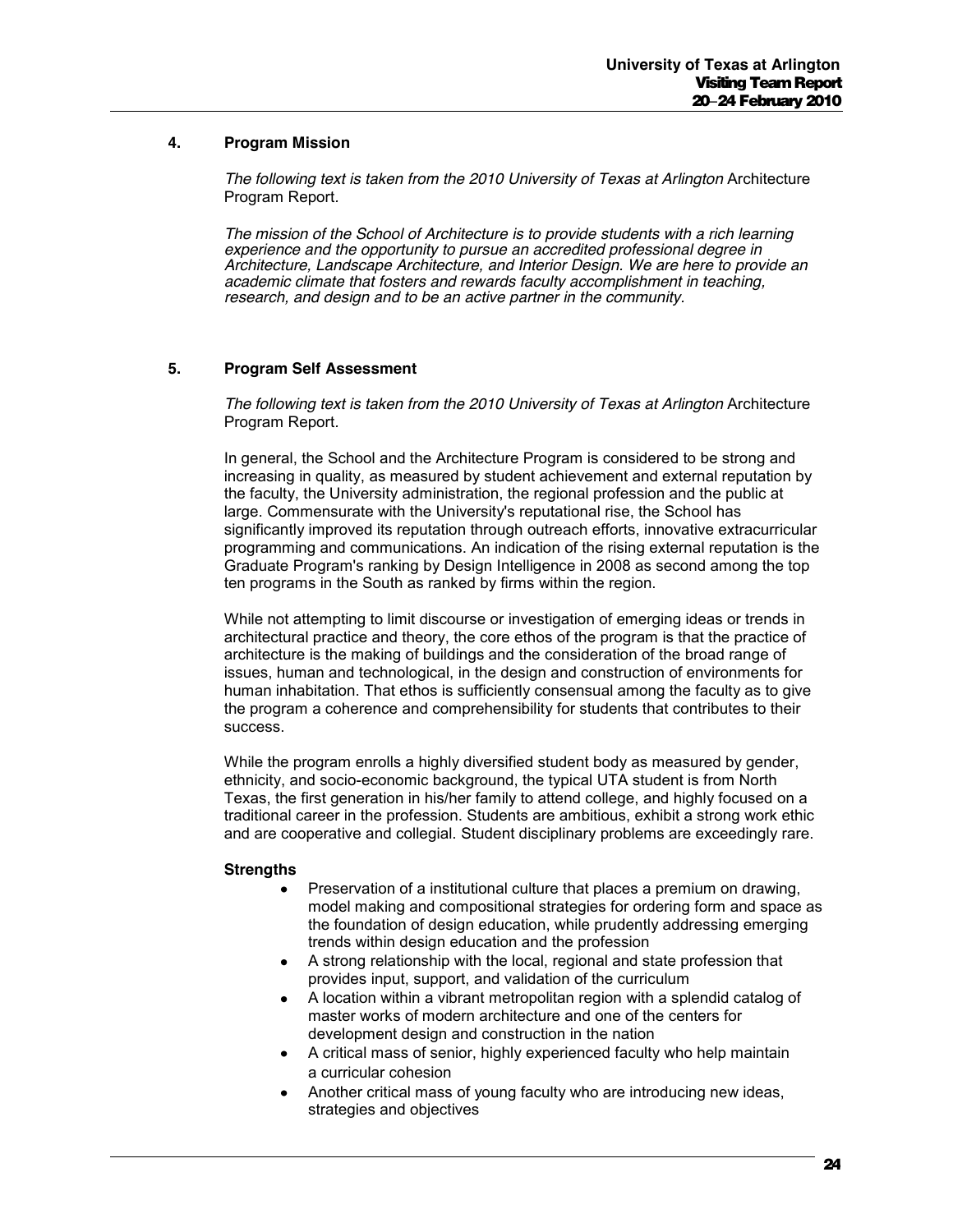### **4. Program Mission**

*The following text is taken from the 2010 University of Texas at Arlington* Architecture Program Report*.*

*The mission of the School of Architecture is to provide students with a rich learning experience and the opportunity to pursue an accredited professional degree in Architecture, Landscape Architecture, and Interior Design. We are here to provide an academic climate that fosters and rewards faculty accomplishment in teaching, research, and design and to be an active partner in the community.*

### **5. Program Self Assessment**

*The following text is taken from the 2010 University of Texas at Arlington* Architecture Program Report*.*

In general, the School and the Architecture Program is considered to be strong and increasing in quality, as measured by student achievement and external reputation by the faculty, the University administration, the regional profession and the public at large. Commensurate with the University's reputational rise, the School has significantly improved its reputation through outreach efforts, innovative extracurricular programming and communications. An indication of the rising external reputation is the Graduate Program's ranking by Design Intelligence in 2008 as second among the top ten programs in the South as ranked by firms within the region.

While not attempting to limit discourse or investigation of emerging ideas or trends in architectural practice and theory, the core ethos of the program is that the practice of architecture is the making of buildings and the consideration of the broad range of issues, human and technological, in the design and construction of environments for human inhabitation. That ethos is sufficiently consensual among the faculty as to give the program a coherence and comprehensibility for students that contributes to their success.

While the program enrolls a highly diversified student body as measured by gender, ethnicity, and socio-economic background, the typical UTA student is from North Texas, the first generation in his/her family to attend college, and highly focused on a traditional career in the profession. Students are ambitious, exhibit a strong work ethic and are cooperative and collegial. Student disciplinary problems are exceedingly rare.

### **Strengths**

- Preservation of a institutional culture that places a premium on drawing, model making and compositional strategies for ordering form and space as the foundation of design education, while prudently addressing emerging trends within design education and the profession
- A strong relationship with the local, regional and state profession that provides input, support, and validation of the curriculum
- A location within a vibrant metropolitan region with a splendid catalog of master works of modern architecture and one of the centers for development design and construction in the nation
- A critical mass of senior, highly experienced faculty who help maintain a curricular cohesion
- Another critical mass of young faculty who are introducing new ideas, strategies and objectives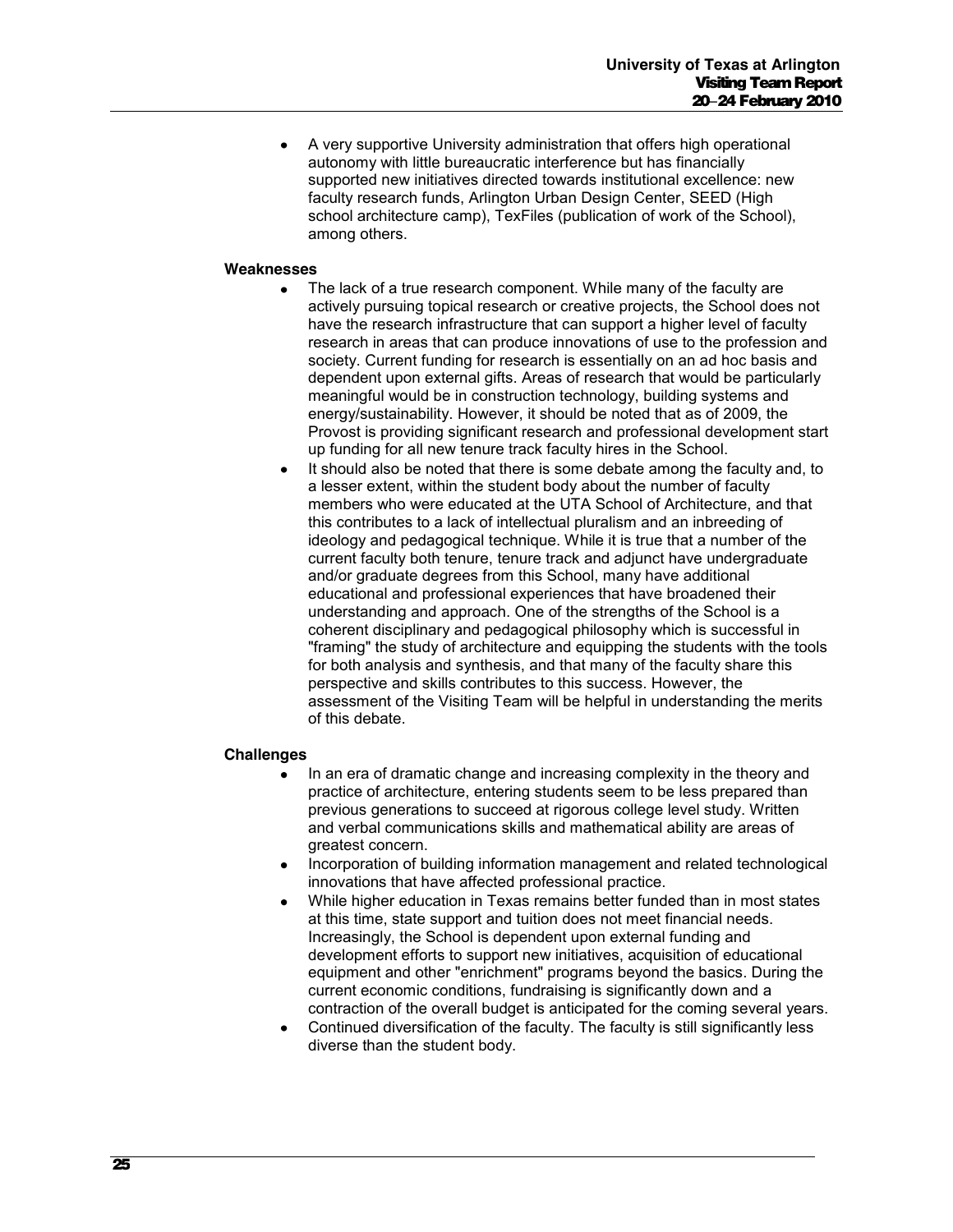A very supportive University administration that offers high operational autonomy with little bureaucratic interference but has financially supported new initiatives directed towards institutional excellence: new faculty research funds, Arlington Urban Design Center, SEED (High school architecture camp), TexFiles (publication of work of the School), among others.

### **Weaknesses**

- The lack of a true research component. While many of the faculty are  $\bullet$ actively pursuing topical research or creative projects, the School does not have the research infrastructure that can support a higher level of faculty research in areas that can produce innovations of use to the profession and society. Current funding for research is essentially on an ad hoc basis and dependent upon external gifts. Areas of research that would be particularly meaningful would be in construction technology, building systems and energy/sustainability. However, it should be noted that as of 2009, the Provost is providing significant research and professional development start up funding for all new tenure track faculty hires in the School.
- It should also be noted that there is some debate among the faculty and, to a lesser extent, within the student body about the number of faculty members who were educated at the UTA School of Architecture, and that this contributes to a lack of intellectual pluralism and an inbreeding of ideology and pedagogical technique. While it is true that a number of the current faculty both tenure, tenure track and adjunct have undergraduate and/or graduate degrees from this School, many have additional educational and professional experiences that have broadened their understanding and approach. One of the strengths of the School is a coherent disciplinary and pedagogical philosophy which is successful in "framing" the study of architecture and equipping the students with the tools for both analysis and synthesis, and that many of the faculty share this perspective and skills contributes to this success. However, the assessment of the Visiting Team will be helpful in understanding the merits of this debate.

#### **Challenges**

- In an era of dramatic change and increasing complexity in the theory and practice of architecture, entering students seem to be less prepared than previous generations to succeed at rigorous college level study. Written and verbal communications skills and mathematical ability are areas of greatest concern.
- Incorporation of building information management and related technological innovations that have affected professional practice.
- While higher education in Texas remains better funded than in most states at this time, state support and tuition does not meet financial needs. Increasingly, the School is dependent upon external funding and development efforts to support new initiatives, acquisition of educational equipment and other "enrichment" programs beyond the basics. During the current economic conditions, fundraising is significantly down and a contraction of the overall budget is anticipated for the coming several years.
- Continued diversification of the faculty. The faculty is still significantly less diverse than the student body.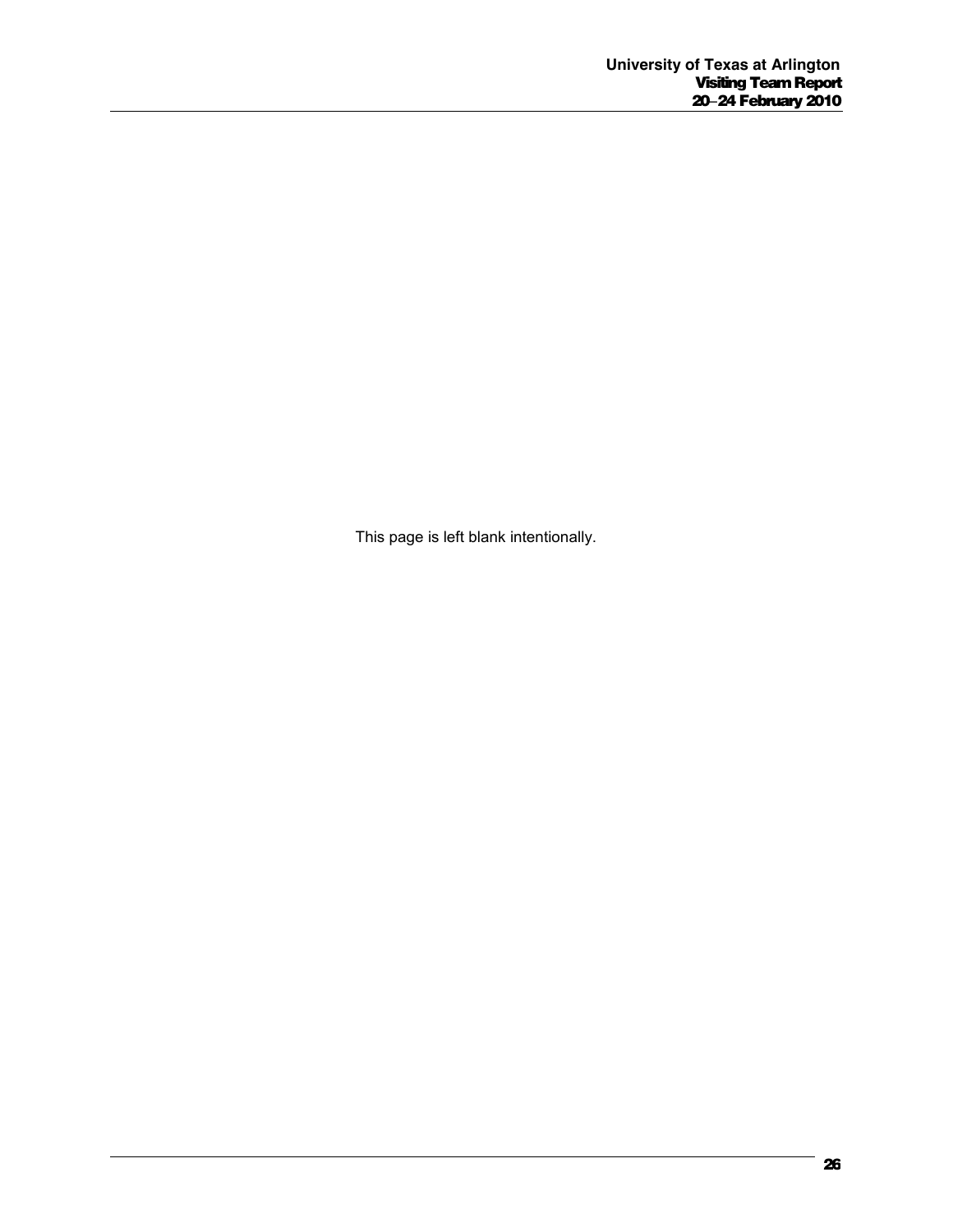This page is left blank intentionally.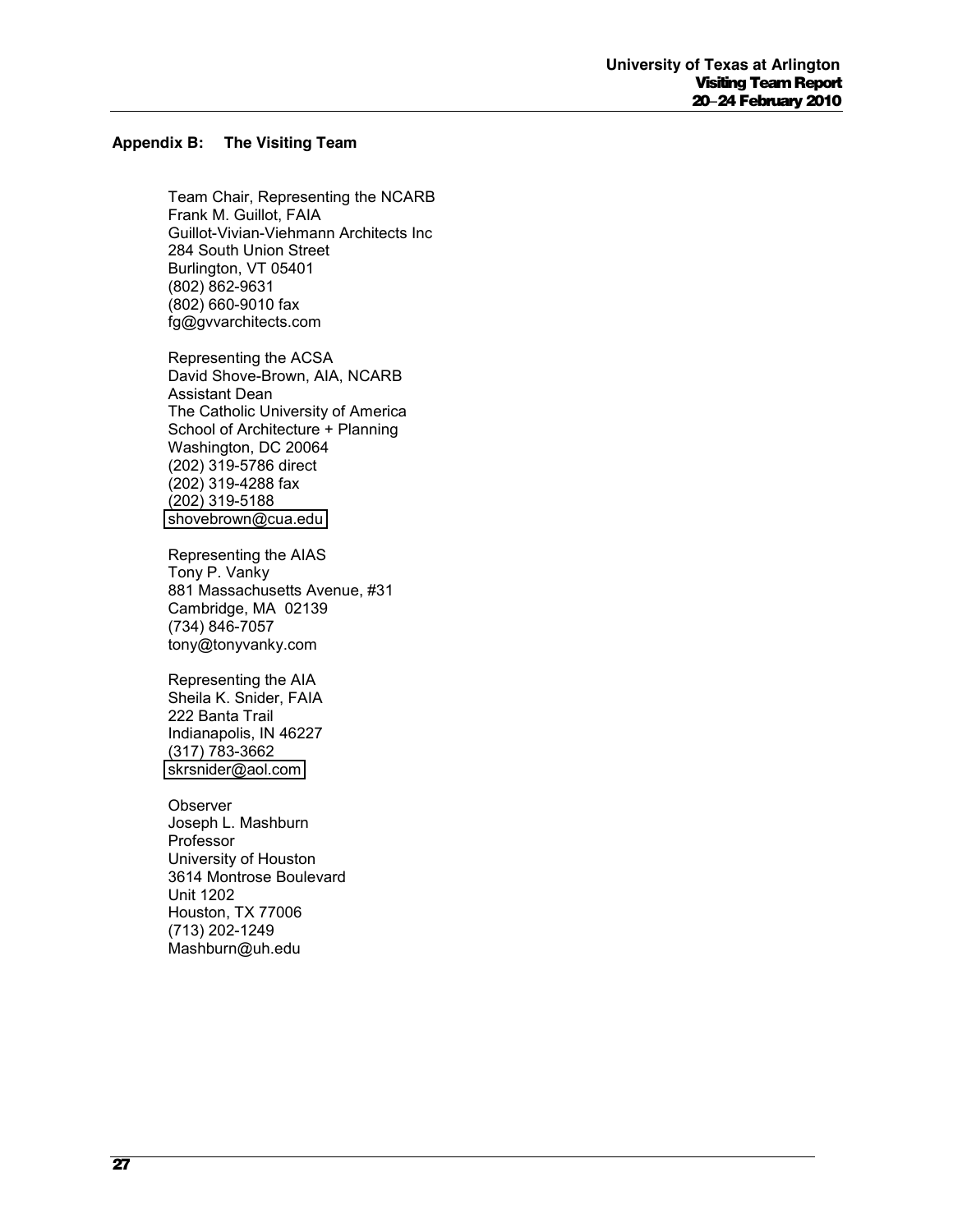### **Appendix B: The Visiting Team**

Team Chair, Representing the NCARB Frank M. Guillot, FAIA Guillot-Vivian-Viehmann Architects Inc 284 South Union Street Burlington, VT 05401 (802) 862-9631 (802) 660-9010 fax fg@gvvarchitects.com

Representing the ACSA David Shove-Brown, AIA, NCARB Assistant Dean The Catholic University of America School of Architecture + Planning Washington, DC 20064 (202) 319-5786 direct (202) 319-4288 fax (202) 319-5188 [shovebrown@cua.edu](mailto:shovebrown@cua.edu)

Representing the AIAS Tony P. Vanky 881 Massachusetts Avenue, #31 Cambridge, MA 02139 (734) 846-7057 tony@tonyvanky.com

Representing the AIA Sheila K. Snider, FAIA 222 Banta Trail Indianapolis, IN 46227 (317) 783-3662 [skrsnider@aol.com](mailto:skrsnider@aol.com)

**Observer** Joseph L. Mashburn Professor University of Houston 3614 Montrose Boulevard Unit 1202 Houston, TX 77006 (713) 202-1249 Mashburn@uh.edu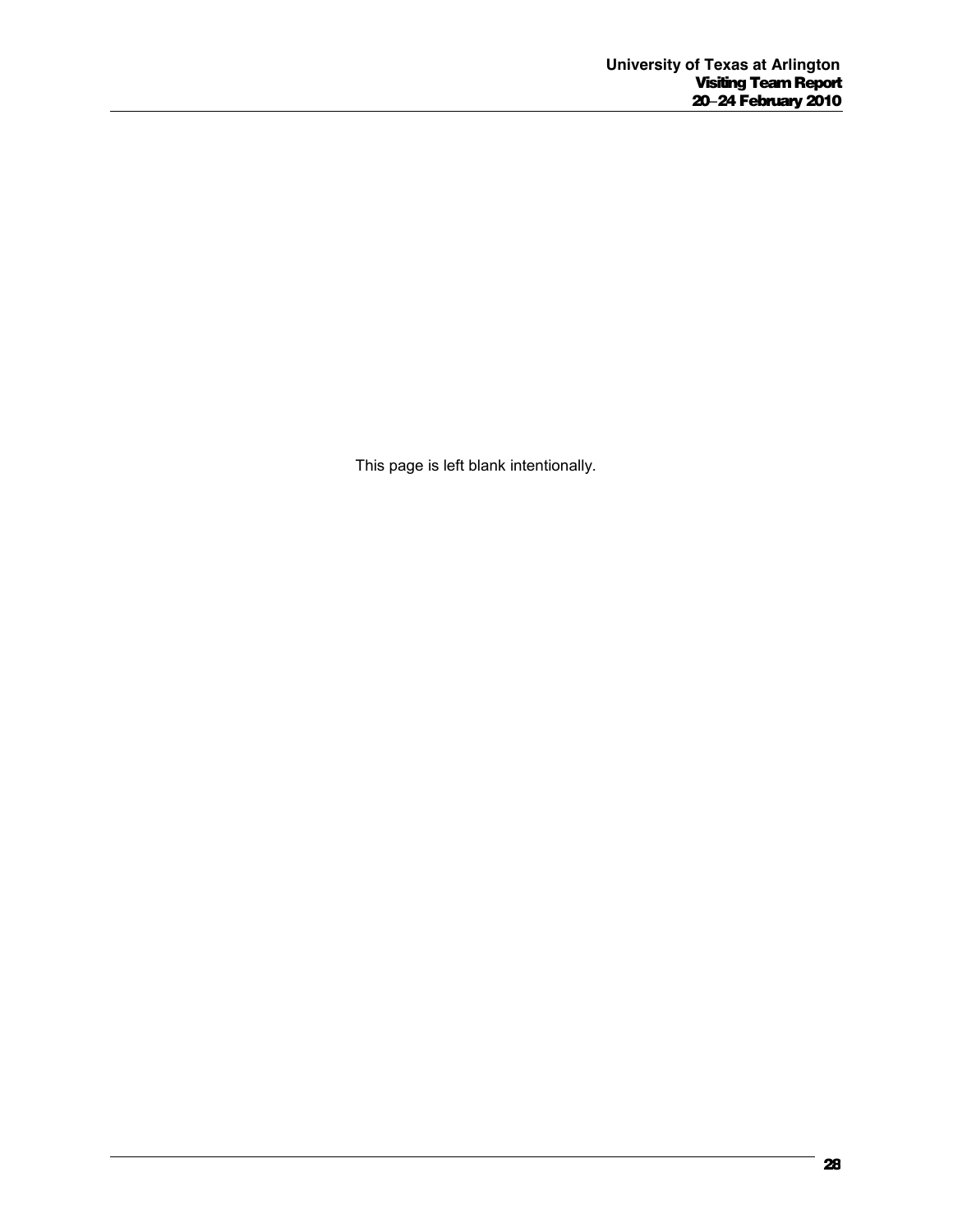This page is left blank intentionally.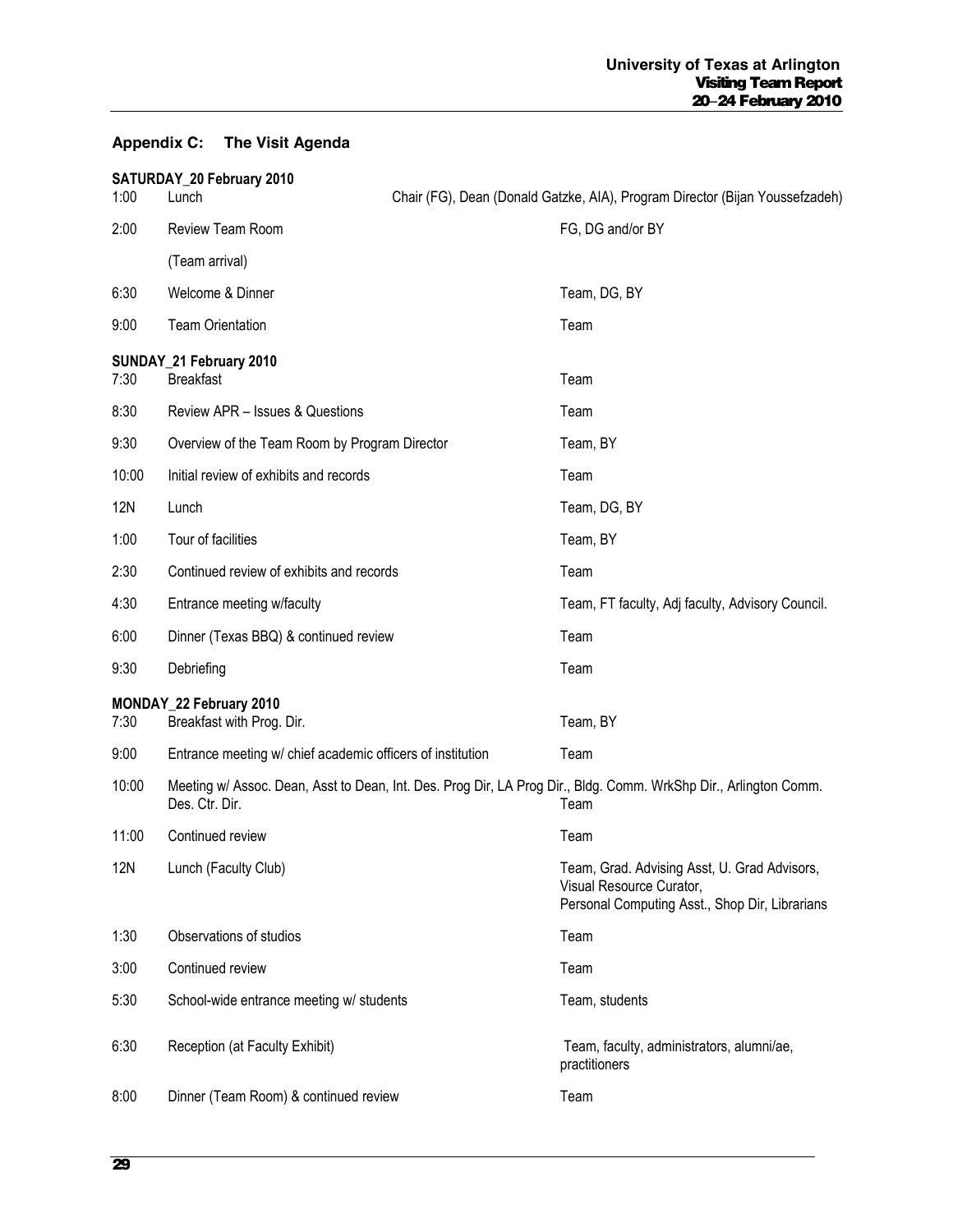| 1:00       | SATURDAY_20 February 2010<br>Lunch<br>Chair (FG), Dean (Donald Gatzke, AIA), Program Director (Bijan Youssefzadeh) |  |                                                                                                                            |
|------------|--------------------------------------------------------------------------------------------------------------------|--|----------------------------------------------------------------------------------------------------------------------------|
| 2:00       | Review Team Room                                                                                                   |  | FG, DG and/or BY                                                                                                           |
|            | (Team arrival)                                                                                                     |  |                                                                                                                            |
| 6:30       | Welcome & Dinner                                                                                                   |  | Team, DG, BY                                                                                                               |
| 9:00       | <b>Team Orientation</b>                                                                                            |  | Team                                                                                                                       |
| 7:30       | SUNDAY_21 February 2010<br><b>Breakfast</b>                                                                        |  | Team                                                                                                                       |
| 8:30       | Review APR - Issues & Questions                                                                                    |  | Team                                                                                                                       |
| 9:30       | Overview of the Team Room by Program Director                                                                      |  | Team, BY                                                                                                                   |
| 10:00      | Initial review of exhibits and records                                                                             |  | Team                                                                                                                       |
| <b>12N</b> | Lunch                                                                                                              |  | Team, DG, BY                                                                                                               |
| 1:00       | Tour of facilities                                                                                                 |  | Team, BY                                                                                                                   |
| 2:30       | Continued review of exhibits and records                                                                           |  | Team                                                                                                                       |
| 4:30       | Entrance meeting w/faculty                                                                                         |  | Team, FT faculty, Adj faculty, Advisory Council.                                                                           |
| 6:00       | Dinner (Texas BBQ) & continued review                                                                              |  | Team                                                                                                                       |
| 9:30       | Debriefing                                                                                                         |  | Team                                                                                                                       |
| 7:30       | MONDAY_22 February 2010<br>Breakfast with Prog. Dir.                                                               |  | Team, BY                                                                                                                   |
| 9:00       | Entrance meeting w/ chief academic officers of institution                                                         |  | Team                                                                                                                       |
| 10:00      | Des. Ctr. Dir.                                                                                                     |  | Meeting w/ Assoc. Dean, Asst to Dean, Int. Des. Prog Dir, LA Prog Dir., Bldg. Comm. WrkShp Dir., Arlington Comm.<br>Team   |
| 11:00      | Continued review                                                                                                   |  | Team                                                                                                                       |
| 12N        | Lunch (Faculty Club)                                                                                               |  | Team, Grad. Advising Asst, U. Grad Advisors,<br>Visual Resource Curator,<br>Personal Computing Asst., Shop Dir, Librarians |
| 1:30       | Observations of studios                                                                                            |  | Team                                                                                                                       |
| 3:00       | Continued review                                                                                                   |  | Team                                                                                                                       |
| 5:30       | School-wide entrance meeting w/ students                                                                           |  | Team, students                                                                                                             |
| 6:30       | Reception (at Faculty Exhibit)                                                                                     |  | Team, faculty, administrators, alumni/ae,<br>practitioners                                                                 |
| 8:00       | Dinner (Team Room) & continued review                                                                              |  | Team                                                                                                                       |

## **Appendix C: The Visit Agenda**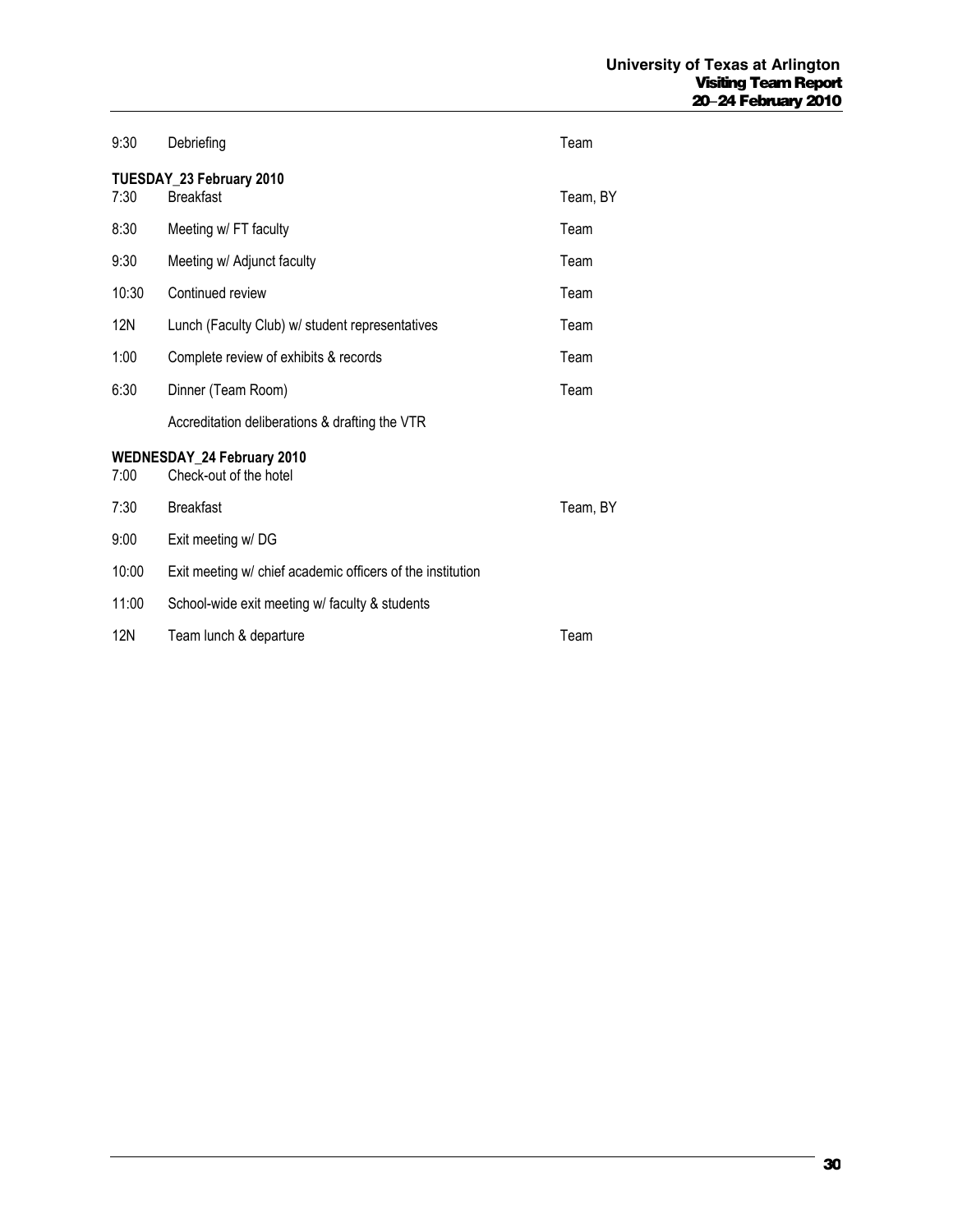| 9:30  | Debriefing                                                  | Team     |
|-------|-------------------------------------------------------------|----------|
| 7:30  | TUESDAY_23 February 2010<br><b>Breakfast</b>                | Team, BY |
| 8:30  | Meeting w/ FT faculty                                       | Team     |
| 9:30  | Meeting w/ Adjunct faculty                                  | Team     |
| 10:30 | Continued review                                            | Team     |
| 12N   | Lunch (Faculty Club) w/ student representatives             | Team     |
| 1:00  | Complete review of exhibits & records                       | Team     |
| 6:30  | Dinner (Team Room)                                          | Team     |
|       | Accreditation deliberations & drafting the VTR              |          |
| 7:00  | <b>WEDNESDAY_24 February 2010</b><br>Check-out of the hotel |          |
| 7:30  | <b>Breakfast</b>                                            | Team, BY |
| 9:00  | Exit meeting w/ DG                                          |          |
| 10:00 | Exit meeting w/ chief academic officers of the institution  |          |
| 11:00 | School-wide exit meeting w/ faculty & students              |          |
| 12N   | Team lunch & departure                                      | Team     |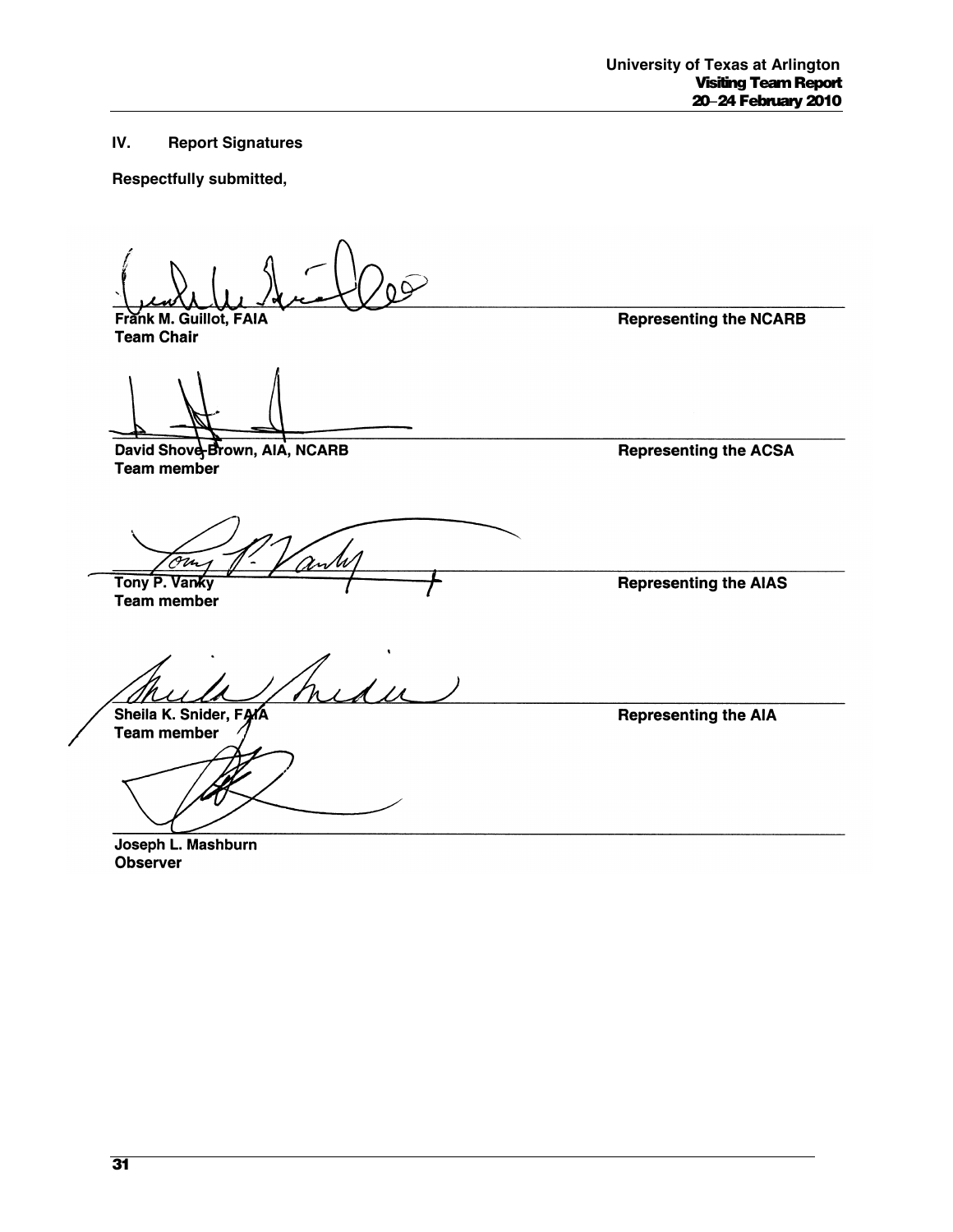### **IV. Report Signatures**

**Respectfully submitted,**

Frank M. Guillot, FAIA **Team Chair** 

David Shove-Brown, AIA, NCARB Team member

om Tony P. Vanky

**Team member** 

**Representing the ACSA** 

**Representing the NCARB** 

**Representing the AIAS** 

'h  $\mathscr{A}$ 

Sheila K. Snider, FA/A **Team member** 

**Representing the AIA** 

Joseph L. Mashburn **Observer**